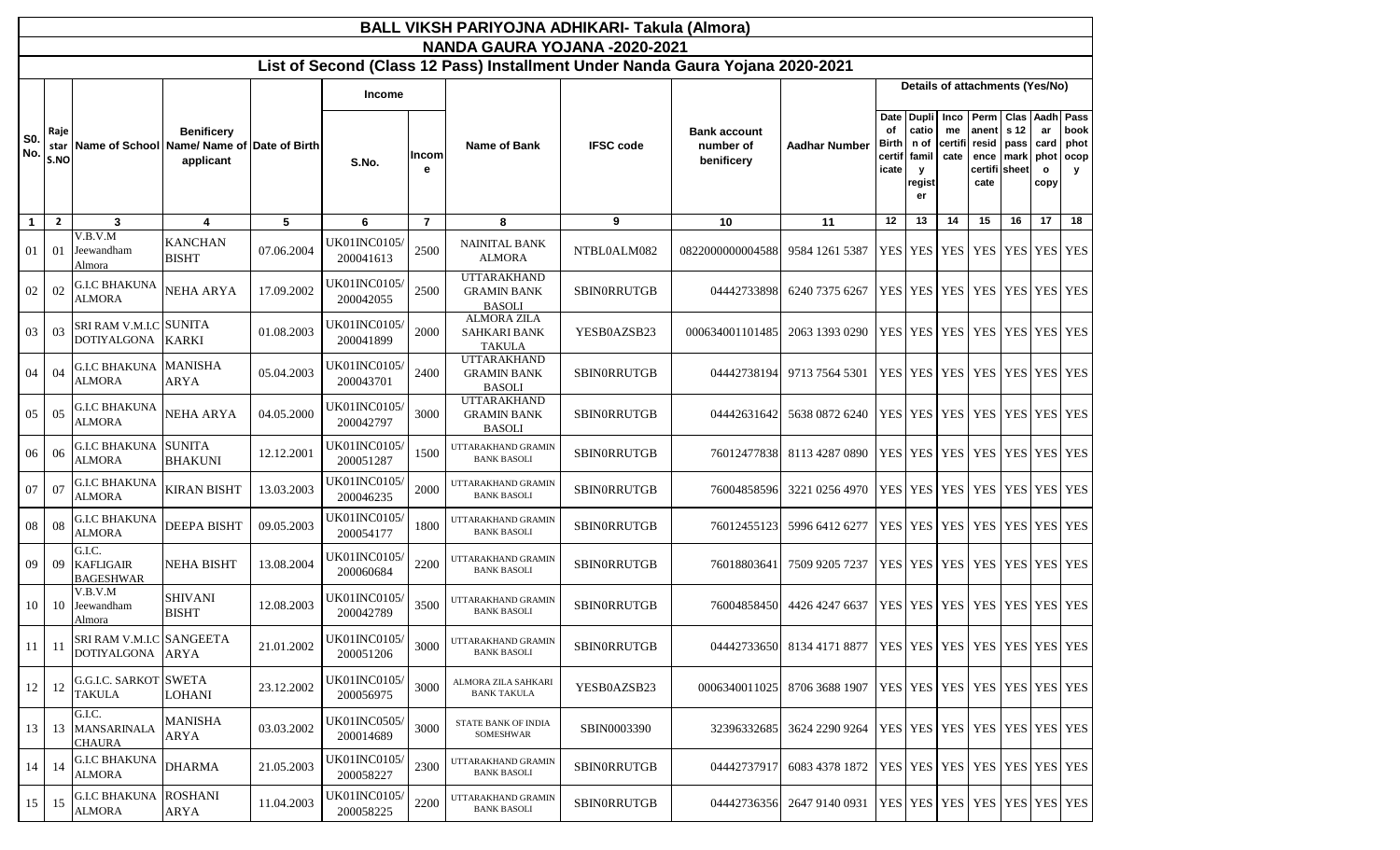|                   |                      |                                                |                                |            |                                 |                   | BALL VIKSH PARIYOJNA ADHIKARI- Takula (Almora)                                                                 |                    |                                                |                                                                      |                                        |                                                          |                       |                                                 |                      |                                                         |                           |
|-------------------|----------------------|------------------------------------------------|--------------------------------|------------|---------------------------------|-------------------|----------------------------------------------------------------------------------------------------------------|--------------------|------------------------------------------------|----------------------------------------------------------------------|----------------------------------------|----------------------------------------------------------|-----------------------|-------------------------------------------------|----------------------|---------------------------------------------------------|---------------------------|
|                   |                      |                                                |                                |            |                                 |                   | NANDA GAURA YOJANA -2020-2021<br>List of Second (Class 12 Pass) Installment Under Nanda Gaura Yojana 2020-2021 |                    |                                                |                                                                      |                                        |                                                          |                       |                                                 |                      |                                                         |                           |
|                   |                      |                                                |                                |            |                                 |                   |                                                                                                                |                    |                                                |                                                                      |                                        |                                                          |                       | Details of attachments (Yes/No)                 |                      |                                                         |                           |
| <b>S0.</b><br>No. | Raje<br>star<br>S.NO | Name of School Name/Name of Date of Birth      | <b>Benificery</b><br>applicant |            | <b>Income</b><br>S.No.          | <b>Incom</b><br>е | Name of Bank                                                                                                   | <b>IFSC code</b>   | <b>Bank account</b><br>number of<br>benificery | <b>Aadhar Number</b>                                                 | Date<br>of<br>Birth<br>certif<br>icate | Dupli Inco Perm<br>catio<br>n of<br>famil<br>y<br>regist | me<br>certifi<br>cate | anent<br>resid<br>ence<br>certifi sheet<br>cate | s 12<br>pass<br>mark | Clas Aadh Pass<br>ar<br>card<br>phot<br>$\circ$<br>copy | book<br>phot<br>ocop<br>y |
| $\mathbf{1}$      | $\overline{2}$       | 3                                              | 4                              | 5          | 6                               | $\overline{7}$    | 8                                                                                                              | 9                  | 10                                             | 11                                                                   | 12                                     | 13                                                       | 14                    | 15                                              | 16                   | 17                                                      | 18                        |
| 01                | 01                   | V.B.V.M<br>Jeewandham<br>Almora                | <b>KANCHAN</b><br><b>BISHT</b> | 07.06.2004 | UK01INC0105<br>200041613        | 2500              | <b>NAINITAL BANK</b><br><b>ALMORA</b>                                                                          | NTBL0ALM082        | 0822000000004588                               | 9584 1261 5387                                                       |                                        |                                                          |                       | YES   YES   YES   YES   YES   YES   YES         |                      |                                                         |                           |
| 02                | 02                   | G.I.C BHAKUNA<br><b>ALMORA</b>                 | <b>NEHA ARYA</b>               | 17.09.2002 | UK01INC0105/<br>200042055       | 2500              | <b>UTTARAKHAND</b><br><b>GRAMIN BANK</b><br><b>BASOLI</b>                                                      | <b>SBINORRUTGB</b> | 04442733898                                    | 6240 7375 6267                                                       |                                        |                                                          |                       | YES   YES   YES   YES   YES   YES   YES         |                      |                                                         |                           |
| 03                | 03                   | SRI RAM V.M.I.C SUNITA<br><b>DOTIYALGONA</b>   | <b>KARKI</b>                   | 01.08.2003 | UK01INC0105/<br>200041899       | 2000              | <b>ALMORA ZILA</b><br>SAHKARI BANK<br><b>TAKULA</b>                                                            | YESB0AZSB23        | 000634001101485                                | 2063 1393 0290                                                       |                                        |                                                          |                       | YES   YES   YES   YES   YES   YES   YES         |                      |                                                         |                           |
| 04                | 04                   | G.I.C BHAKUNA<br><b>ALMORA</b>                 | <b>MANISHA</b><br>ARYA         | 05.04.2003 | UK01INC0105/<br>200043701       | 2400              | <b>UTTARAKHAND</b><br><b>GRAMIN BANK</b><br><b>BASOLI</b>                                                      | SBINORRUTGB        | 04442738194                                    | 9713 7564 5301                                                       |                                        |                                                          |                       | YES   YES   YES   YES   YES   YES   YES         |                      |                                                         |                           |
| 05                | 05                   | G.I.C BHAKUNA<br><b>ALMORA</b>                 | <b>NEHA ARYA</b>               | 04.05.2000 | UK01INC0105/<br>200042797       | 3000              | <b>UTTARAKHAND</b><br><b>GRAMIN BANK</b><br><b>BASOLI</b>                                                      | <b>SBINORRUTGB</b> | 04442631642                                    | 5638 0872 6240                                                       |                                        |                                                          |                       | YES   YES   YES   YES   YES   YES   YES         |                      |                                                         |                           |
| 06                | 06                   | <b>G.I.C BHAKUNA SUNITA</b><br>ALMORA          | <b>BHAKUNI</b>                 | 12.12.2001 | UK01INC0105/<br>200051287       | 1500              | UTTARAKHAND GRAMIN<br><b>BANK BASOLI</b>                                                                       | <b>SBINORRUTGB</b> | 76012477838                                    | 8113 4287 0890                                                       |                                        |                                                          |                       | YES   YES   YES   YES   YES   YES   YES         |                      |                                                         |                           |
| 07                | 07                   | <b>G.I.C BHAKUNA</b><br><b>ALMORA</b>          | <b>KIRAN BISHT</b>             | 13.03.2003 | UK01INC0105/<br>200046235       | 2000              | UTTARAKHAND GRAMIN<br><b>BANK BASOLI</b>                                                                       | <b>SBINORRUTGB</b> | 76004858596                                    | 3221 0256 4970                                                       |                                        |                                                          |                       | YES   YES   YES   YES   YES   YES   YES         |                      |                                                         |                           |
| 08                | 08                   | <b>G.I.C BHAKUNA</b><br><b>ALMORA</b>          | <b>DEEPA BISHT</b>             | 09.05.2003 | UK01INC0105<br>200054177        | 1800              | UTTARAKHAND GRAMIN<br><b>BANK BASOLI</b>                                                                       | SBINORRUTGB        | 76012455123                                    | 5996 6412 6277                                                       |                                        |                                                          |                       | YES   YES   YES   YES   YES   YES   YES         |                      |                                                         |                           |
| 09                | 09                   | G.I.C.<br><b>KAFLIGAIR</b><br><b>BAGESHWAR</b> | <b>NEHA BISHT</b>              | 13.08.2004 | UK01INC0105/<br>200060684       | 2200              | UTTARAKHAND GRAMIN<br><b>BANK BASOLI</b>                                                                       | SBINORRUTGB        | 7601880364                                     | 7509 9205 7237                                                       |                                        |                                                          |                       | YES YES YES YES YES YES YES YES                 |                      |                                                         |                           |
| 10                | 10                   | V.B.V.M<br>Jeewandham<br>Almora                | <b>SHIVANI</b><br><b>BISHT</b> | 12.08.2003 | UK01INC0105/<br>200042789       | 3500              | UTTARAKHAND GRAMIN<br><b>BANK BASOLI</b>                                                                       | SBINORRUTGB        | 76004858450                                    | 4426 4247 6637                                                       |                                        |                                                          |                       | YES YES YES YES YES YES YES YES                 |                      |                                                         |                           |
| 11                | -11                  | SRI RAM V.M.I.C SANGEETA<br><b>DOTIYALGONA</b> | <b>ARYA</b>                    | 21.01.2002 | UK01INC0105<br>200051206        | 3000              | UTTARAKHAND GRAMIN<br><b>BANK BASOLI</b>                                                                       | SBINORRUTGB        |                                                | 04442733650 8134 4171 8877   YES   YES   YES   YES   YES   YES   YES |                                        |                                                          |                       |                                                 |                      |                                                         |                           |
| 12                | 12                   | <b>G.G.I.C. SARKOT SWETA</b><br><b>TAKULA</b>  | <b>LOHANI</b>                  | 23.12.2002 | UK01INC0105/<br>200056975       | 3000              | ALMORA ZILA SAHKARI<br><b>BANK TAKULA</b>                                                                      | YESB0AZSB23        | 0006340011025                                  | 8706 3688 1907                                                       |                                        |                                                          |                       | YES YES YES YES YES YES YES YES                 |                      |                                                         |                           |
| 13                | 13                   | G.I.C.<br><b>MANSARINALA</b><br>CHAURA         | <b>MANISHA</b><br>ARYA         | 03.03.2002 | <b>UK01INC0505</b><br>200014689 | 3000              | <b>STATE BANK OF INDIA</b><br>SOMESHWAR                                                                        | SBIN0003390        | 32396332685                                    | 3624 2290 9264                                                       |                                        |                                                          |                       | YES YES YES YES YES YES YES                     |                      |                                                         |                           |
| 14                | 14                   | <b>G.I.C BHAKUNA</b><br><b>ALMORA</b>          | <b>DHARMA</b>                  | 21.05.2003 | <b>UK01INC0105</b><br>200058227 | 2300              | UTTARAKHAND GRAMIN<br><b>BANK BASOLI</b>                                                                       | SBINORRUTGB        | 04442737917                                    | 6083 4378 1872                                                       |                                        |                                                          |                       | YES   YES   YES   YES   YES   YES   YES         |                      |                                                         |                           |
| 15                | 15                   | G.I.C BHAKUNA<br>ALMORA                        | <b>ROSHANI</b><br>ARYA         | 11.04.2003 | UK01INC0105/<br>200058225       | 2200              | UTTARAKHAND GRAMIN<br><b>BANK BASOLI</b>                                                                       | <b>SBINORRUTGB</b> | 04442736356                                    | 2647 9140 0931                                                       |                                        |                                                          |                       | YES YES YES YES YES YES YES                     |                      |                                                         |                           |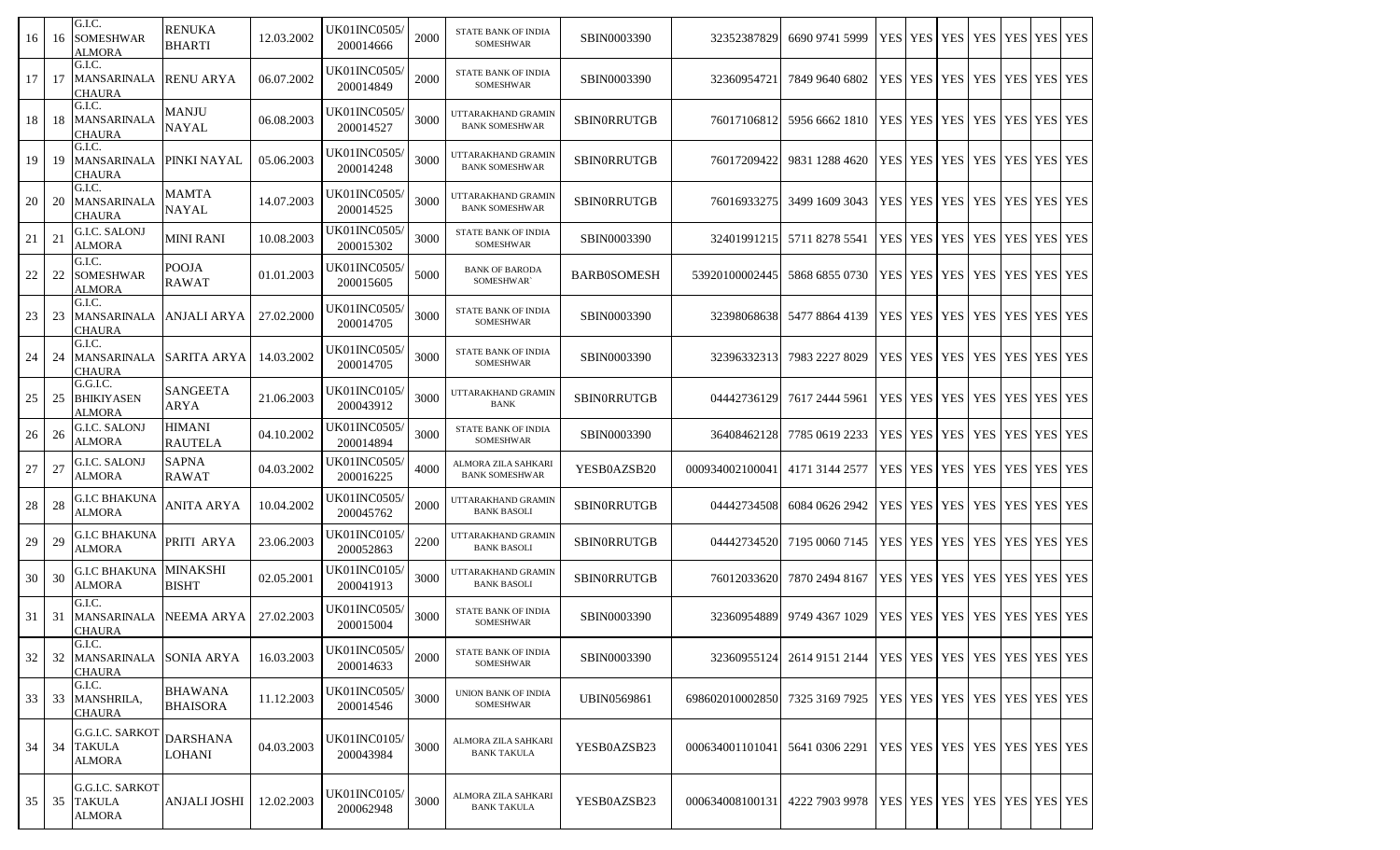| 16     | 16  | G.I.C.<br><b>SOMESHWAR</b><br><b>ALMORA</b>          | <b>RENUKA</b><br><b>BHARTI</b>    | 12.03.2002 | UK01INC0505/<br>200014666        | 2000 | STATE BANK OF INDIA<br><b>SOMESHWAR</b>        | SBIN0003390        | 32352387829     | 6690 9741 5999                                                       | <b>YES</b> | <b>YES</b>            | <b>YES</b> | <b>YES</b>                              |             | YES YES YES |  |
|--------|-----|------------------------------------------------------|-----------------------------------|------------|----------------------------------|------|------------------------------------------------|--------------------|-----------------|----------------------------------------------------------------------|------------|-----------------------|------------|-----------------------------------------|-------------|-------------|--|
| 17     | 17  | G.I.C.<br><b>MANSARINALA</b><br><b>CHAURA</b>        | <b>RENU ARYA</b>                  | 06.07.2002 | UK01INC0505/<br>200014849        | 2000 | STATE BANK OF INDIA<br><b>SOMESHWAR</b>        | SBIN0003390        | 3236095472      | 7849 9640 6802                                                       | <b>YES</b> | <b>YES</b>            | <b>YES</b> | <b>YES</b>                              |             | YES YES YES |  |
| 18     | -18 | G.I.C.<br>MANSARINALA<br><b>CHAURA</b>               | <b>MANJU</b><br><b>NAYAL</b>      | 06.08.2003 | UK01INC0505/<br>200014527        | 3000 | UTTARAKHAND GRAMIN<br><b>BANK SOMESHWAR</b>    | <b>SBINORRUTGB</b> | 76017106812     | 5956 6662 1810                                                       | <b>YES</b> | <b>YES</b>            | <b>YES</b> | <b>YES</b>                              |             | YES YES YES |  |
| 19     | 19  | G.I.C.<br><b>MANSARINALA</b><br>CHAURA               | <b>PINKI NAYAL</b>                | 05.06.2003 | UK01INC0505/<br>200014248        | 3000 | UTTARAKHAND GRAMIN<br><b>BANK SOMESHWAR</b>    | <b>SBINORRUTGB</b> | 76017209422     | 9831 1288 4620                                                       |            | YES YES YES YES       |            |                                         |             | YES YES YES |  |
| 20     | 20  | G.I.C.<br><b>MANSARINALA</b><br><b>CHAURA</b>        | MAMTA<br>NAYAL                    | 14.07.2003 | <b>UK01INC0505</b><br>200014525  | 3000 | UTTARAKHAND GRAMIN<br><b>BANK SOMESHWAR</b>    | <b>SBINORRUTGB</b> | 76016933275     | 3499 1609 3043                                                       |            | YES   YES   YES   YES |            |                                         | YES YES YES |             |  |
| 21     | 21  | G.I.C. SALONJ<br><b>ALMORA</b>                       | MINI RANI                         | 10.08.2003 | UK01INC0505/<br>200015302        | 3000 | STATE BANK OF INDIA<br>SOMESHWAR               | SBIN0003390        | 32401991215     | 5711 8278 5541                                                       | <b>YES</b> | <b>YES</b>            | <b>YES</b> | <b>YES</b>                              |             | YES YES YES |  |
| $22\,$ | 22  | G.I.C.<br><b>SOMESHWAR</b><br>ALMORA                 | <b>POOJA</b><br><b>RAWAT</b>      | 01.01.2003 | UK01INC0505/<br>200015605        | 5000 | <b>BANK OF BARODA</b><br>SOMESHWAR`            | <b>BARB0SOMESH</b> | 53920100002445  | 5868 6855 0730                                                       |            | YES YES YES           |            | YES                                     | YES YES YES |             |  |
| 23     | 23  | G.I.C.<br>MANSARINALA   ANJALI ARYA<br><b>CHAURA</b> |                                   | 27.02.2000 | UK01INC0505/<br>200014705        | 3000 | STATE BANK OF INDIA<br>SOMESHWAR               | SBIN0003390        | 32398068638     | 5477 8864 4139                                                       |            | YES YES YES           |            | <b>YES</b>                              | YES YES YES |             |  |
| 24     | 24  | G.I.C.<br>MANSARINALA SARITA ARYA<br><b>CHAURA</b>   |                                   | 14.03.2002 | UK01INC0505/<br>200014705        | 3000 | STATE BANK OF INDIA<br>SOMESHWAR               | SBIN0003390        | 32396332313     | 7983 2227 8029                                                       |            | YES   YES   YES       |            | YES                                     | YES YES YES |             |  |
| 25     | 25  | G.G.I.C.<br><b>BHIKIYASEN</b><br>ALMORA              | <b>SANGEETA</b><br>ARYA           | 21.06.2003 | <b>UK01INC0105/</b><br>200043912 | 3000 | UTTARAKHAND GRAMIN<br><b>BANK</b>              | <b>SBINORRUTGB</b> | 04442736129     | 7617 2444 5961                                                       |            | YES YES YES           |            | <b>YES</b>                              | YES YES YES |             |  |
| 26     | 26  | <b>G.I.C. SALONJ</b><br><b>ALMORA</b>                | <b>HIMANI</b><br><b>RAUTELA</b>   | 04.10.2002 | <b>UK01INC0505</b><br>200014894  | 3000 | STATE BANK OF INDIA<br>SOMESHWAR               | SBIN0003390        | 36408462128     | 7785 0619 2233                                                       | <b>YES</b> | <b>YES</b>            | <b>YES</b> | <b>YES</b>                              |             | YES YES YES |  |
| 27     | 27  | G.I.C. SALONJ<br><b>ALMORA</b>                       | <b>SAPNA</b><br><b>RAWAT</b>      | 04.03.2002 | UK01INC0505/<br>200016225        | 4000 | ALMORA ZILA SAHKARI<br><b>BANK SOMESHWAR</b>   | YESB0AZSB20        | 000934002100041 | 4171 3144 2577                                                       | <b>YES</b> |                       | YES YES    | <b>YES</b>                              |             | YES YES YES |  |
| $28\,$ | 28  | <b>G.I.C BHAKUNA</b><br><b>ALMORA</b>                | ANITA ARYA                        | 10.04.2002 | <b>UK01INC0505/</b><br>200045762 | 2000 | UTTARAKHAND GRAMIN<br><b>BANK BASOLI</b>       | SBIN0RRUTGB        | 04442734508     | 6084 0626 2942                                                       |            | YES YES YES           |            | YES                                     |             | YES YES YES |  |
| 29     | 29  | <b>G.I.C BHAKUNA</b><br><b>ALMORA</b>                | PRITI ARYA                        | 23.06.2003 | UK01INC0105/<br>200052863        | 2200 | UTTARAKHAND GRAMIN<br><b>BANK BASOLI</b>       | <b>SBINORRUTGB</b> | 04442734520     | 7195 0060 7145                                                       |            | YES YES YES           |            | YES                                     |             | YES YES YES |  |
| 30     | 30  | G.I.C BHAKUNA<br><b>ALMORA</b>                       | <b>MINAKSHI</b><br><b>BISHT</b>   | 02.05.2001 | UK01INC0105/<br>200041913        | 3000 | UTTARAKHAND GRAMIN<br><b>BANK BASOLI</b>       | <b>SBINORRUTGB</b> | 76012033620     | 7870 2494 8167                                                       |            | YES YES YES           |            | <b>YES</b>                              |             | YES YES YES |  |
| 31     | 31  | G.I.C.<br>MANSARINALA<br><b>CHAURA</b>               | <b>NEEMA ARYA</b>                 | 27.02.2003 | UK01INC0505/<br>200015004        | 3000 | <b>STATE BANK OF INDIA</b><br>SOMESHWAR        | SBIN0003390        | 32360954889     | 9749 4367 1029                                                       |            | YES YES YES           |            | <b>YES</b>                              | YES YES YES |             |  |
| 32     | 32  | G.I.C.<br>MANSARINALA SONIA ARYA<br><b>CHAURA</b>    |                                   | 16.03.2003 | UK01INC0505/<br>200014633        | 2000 | <b>STATE BANK OF INDIA</b><br><b>SOMESHWAR</b> | SBIN0003390        |                 | 32360955124 2614 9151 2144   YES   YES   YES   YES   YES   YES   YES |            |                       |            |                                         |             |             |  |
| 33     | 33  | G.I.C.<br>MANSHRILA,<br><b>CHAURA</b>                | <b>BHAWANA</b><br><b>BHAISORA</b> | 11.12.2003 | <b>UK01INC0505/</b><br>200014546 | 3000 | <b>UNION BANK OF INDIA</b><br>SOMESHWAR        | <b>UBIN0569861</b> | 698602010002850 | 7325 3169 7925                                                       |            |                       |            | YES   YES   YES   YES   YES   YES   YES |             |             |  |
| 34     | 34  | G.G.I.C. SARKOT<br><b>TAKULA</b><br><b>ALMORA</b>    | <b>DARSHANA</b><br><b>LOHANI</b>  | 04.03.2003 | <b>UK01INC0105/</b><br>200043984 | 3000 | ALMORA ZILA SAHKARI<br><b>BANK TAKULA</b>      | YESB0AZSB23        | 000634001101041 | 5641 0306 2291                                                       |            |                       |            | YES YES YES YES YES YES YES YES         |             |             |  |
| 35     | 35  | G.G.I.C. SARKOT<br><b>TAKULA</b><br><b>ALMORA</b>    | <b>ANJALI JOSHI</b>               | 12.02.2003 | UK01INC0105/<br>200062948        | 3000 | ALMORA ZILA SAHKARI<br><b>BANK TAKULA</b>      | YESB0AZSB23        | 000634008100131 | 4222 7903 9978   YES   YES   YES   YES   YES   YES   YES   YES       |            |                       |            |                                         |             |             |  |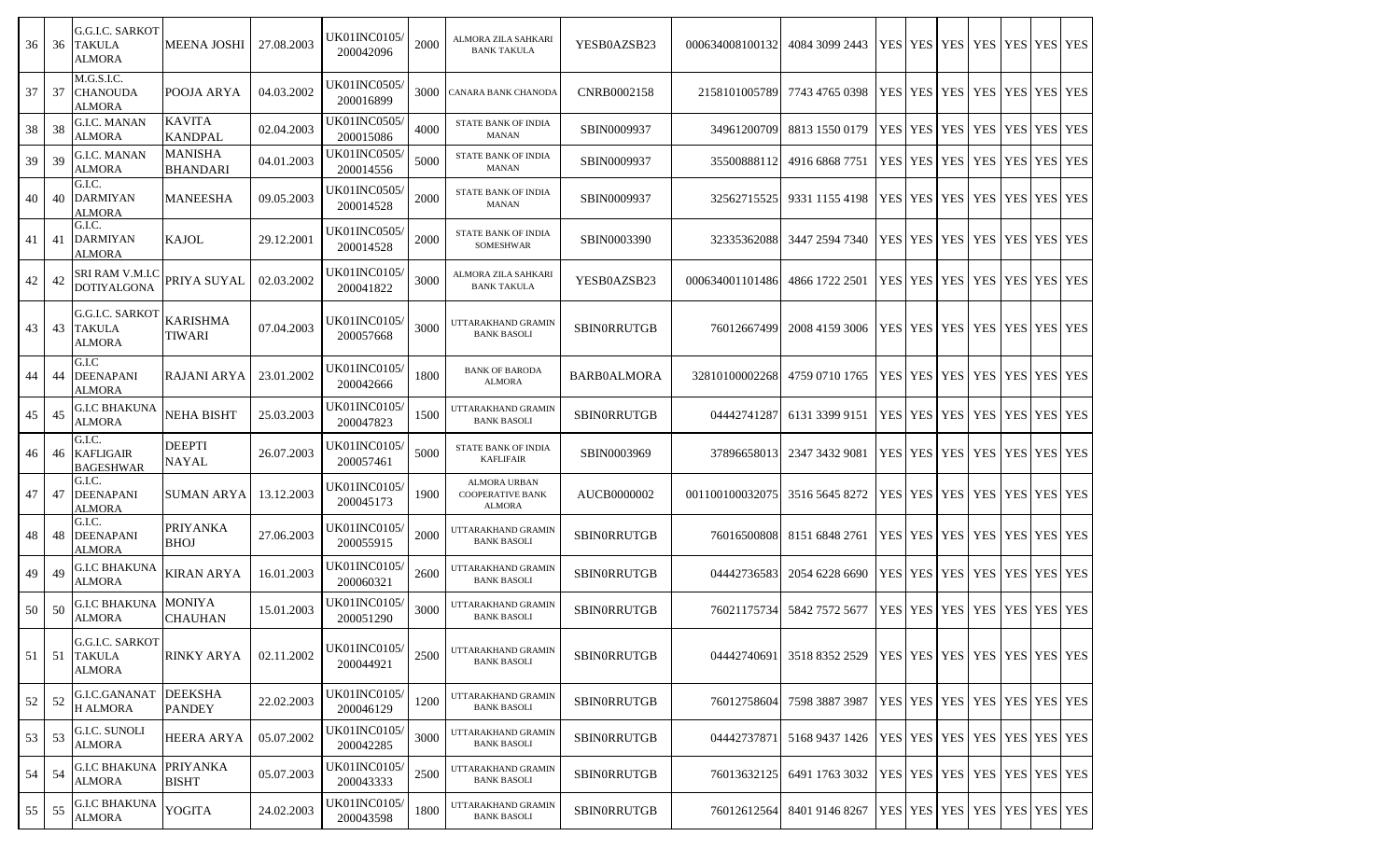| 36    | 36  | G.G.I.C. SARKOT<br><b>TAKULA</b><br>ALMORA        | <b>MEENA JOSHI</b>                | 27.08.2003 | UK01INC0105/<br>200042096        | 2000 | ALMORA ZILA SAHKARI<br><b>BANK TAKULA</b>                       | YESB0AZSB23        | 000634008100132 | 4084 3099 2443                                                 |                | YES YES YES YES YES YES YES             |  |  |
|-------|-----|---------------------------------------------------|-----------------------------------|------------|----------------------------------|------|-----------------------------------------------------------------|--------------------|-----------------|----------------------------------------------------------------|----------------|-----------------------------------------|--|--|
| 37    | 37  | M.G.S.I.C.<br><b>CHANOUDA</b><br>ALMORA           | POOJA ARYA                        | 04.03.2002 | UK01INC0505/<br>200016899        | 3000 | CANARA BANK CHANODA                                             | CNRB0002158        | 2158101005789   | 7743 4765 0398                                                 | YES YES        | YES   YES   YES   YES   YES             |  |  |
| 38    | 38  | <b>G.I.C. MANAN</b><br><b>ALMORA</b>              | <b>KAVITA</b><br><b>KANDPAL</b>   | 02.04.2003 | <b>UK01INC0505</b><br>200015086  | 4000 | STATE BANK OF INDIA<br><b>MANAN</b>                             | SBIN0009937        | 34961200709     | 8813 1550 0179                                                 | <b>YES</b> YES | YES   YES   YES   YES   YES             |  |  |
| 39    | 39  | G.I.C. MANAN<br><b>ALMORA</b>                     | <b>MANISHA</b><br><b>BHANDARI</b> | 04.01.2003 | <b>UK01INC0505/</b><br>200014556 | 5000 | STATE BANK OF INDIA<br><b>MANAN</b>                             | SBIN0009937        | 35500888112     | 4916 6868 7751                                                 | <b>YES YES</b> | YES   YES   YES   YES   YES             |  |  |
| 40    | 40  | G.I.C.<br><b>DARMIYAN</b><br>ALMORA               | <b>MANEESHA</b>                   | 09.05.2003 | <b>UK01INC0505</b><br>200014528  | 2000 | STATE BANK OF INDIA<br><b>MANAN</b>                             | SBIN0009937        | 32562715525     | 9331 1155 4198                                                 | YES YES        | YES YES YES YES YES                     |  |  |
| 41    | 41  | G.I.C.<br><b>DARMIYAN</b><br>ALMORA               | KAJOL                             | 29.12.2001 | <b>UK01INC0505/</b><br>200014528 | 2000 | <b>STATE BANK OF INDIA</b><br>SOMESHWAR                         | SBIN0003390        | 32335362088     | 3447 2594 7340                                                 |                | YES   YES   YES   YES   YES   YES   YES |  |  |
| 42    | 42  | SRI RAM V.M.I.C<br><b>DOTIYALGONA</b>             | PRIYA SUYAL                       | 02.03.2002 | UK01INC0105/<br>200041822        | 3000 | ALMORA ZILA SAHKARI<br><b>BANK TAKULA</b>                       | YESB0AZSB23        | 000634001101486 | 4866 1722 2501                                                 |                | YES   YES   YES   YES   YES   YES   YES |  |  |
| 43    | 43  | <b>G.G.I.C. SARKOT</b><br><b>TAKULA</b><br>ALMORA | <b>KARISHMA</b><br>TIWARI         | 07.04.2003 | <b>UK01INC0105</b><br>200057668  | 3000 | UTTARAKHAND GRAMIN<br><b>BANK BASOLI</b>                        | <b>SBINORRUTGB</b> | 76012667499     | 2008 4159 3006                                                 | YES YES        | YES YES YES YES YES                     |  |  |
| 44    | 44  | G.I.C<br><b>DEENAPANI</b><br>ALMORA               | RAJANI ARYA                       | 23.01.2002 | <b>UK01INC0105</b><br>200042666  | 1800 | <b>BANK OF BARODA</b><br><b>ALMORA</b>                          | <b>BARB0ALMORA</b> | 32810100002268  | 4759 0710 1765                                                 |                | YES   YES   YES   YES   YES   YES   YES |  |  |
| 45    | 45  | G.I.C BHAKUNA<br><b>ALMORA</b>                    | <b>NEHA BISHT</b>                 | 25.03.2003 | UK01INC0105/<br>200047823        | 1500 | UTTARAKHAND GRAMIN<br><b>BANK BASOLI</b>                        | <b>SBINORRUTGB</b> | 04442741287     | 6131 3399 9151                                                 | YES YES        | YES   YES   YES   YES   YES             |  |  |
| 46    | 46  | G.I.C.<br><b>KAFLIGAIR</b><br><b>BAGESHWAR</b>    | <b>DEEPTI</b><br><b>NAYAL</b>     | 26.07.2003 | UK01INC0105/<br>200057461        | 5000 | STATE BANK OF INDIA<br><b>KAFLIFAIR</b>                         | SBIN0003969        | 37896658013     | 2347 3432 9081                                                 | <b>YES YES</b> | YES   YES   YES   YES   YES             |  |  |
| 47    | 47  | G.I.C.<br><b>DEENAPANI</b><br><b>ALMORA</b>       | <b>SUMAN ARYA</b>                 | 13.12.2003 | UK01INC0105/<br>200045173        | 1900 | <b>ALMORA URBAN</b><br><b>COOPERATIVE BANK</b><br><b>ALMORA</b> | AUCB0000002        | 001100100032075 | 3516 5645 8272                                                 | <b>YES YES</b> | YES   YES   YES   YES   YES             |  |  |
| 48    | 48  | G.I.C.<br><b>DEENAPANI</b><br>ALMORA              | <b>PRIYANKA</b><br><b>BHOJ</b>    | 27.06.2003 | <b>UK01INC0105</b><br>200055915  | 2000 | UTTARAKHAND GRAMIN<br><b>BANK BASOLI</b>                        | <b>SBINORRUTGB</b> | 76016500808     | 8151 6848 2761                                                 | YES YES        | YES YES YES YES YES                     |  |  |
| 49    | 49  | G.I.C BHAKUNA<br><b>ALMORA</b>                    | <b>KIRAN ARYA</b>                 | 16.01.2003 | <b>UK01INC0105/</b><br>200060321 | 2600 | UTTARAKHAND GRAMIN<br><b>BANK BASOLI</b>                        | SBINORRUTGB        | 04442736583     | 2054 6228 6690                                                 | <b>YES</b> YES | YES   YES   YES   YES   YES             |  |  |
| 50 50 |     | G.I.C BHAKUNA<br><b>ALMORA</b>                    | <b>MONIYA</b><br><b>CHAUHAN</b>   | 15.01.2003 | UK01INC0105/<br>200051290        | 3000 | UTTARAKHAND GRAMIN<br><b>BANK BASOLI</b>                        | <b>SBINORRUTGB</b> | 76021175734     | 5842 7572 5677                                                 | YES YES        | YES   YES   YES   YES   YES             |  |  |
| 51    | -51 | G.G.I.C. SARKOT<br><b>TAKULA</b><br>ALMORA        | <b>RINKY ARYA</b>                 | 02.11.2002 | UK01INC0105/<br>200044921        | 2500 | UTTARAKHAND GRAMIN<br><b>BANK BASOLI</b>                        | SBINORRUTGB        | 04442740691     | 3518 8352 2529   YES   YES   YES   YES   YES   YES   YES   YES |                |                                         |  |  |
| 52    | 52  | G.I.C.GANANAT<br>H ALMORA                         | <b>DEEKSHA</b><br><b>PANDEY</b>   | 22.02.2003 | <b>UK01INC0105/</b><br>200046129 | 1200 | UTTARAKHAND GRAMIN<br><b>BANK BASOLI</b>                        | <b>SBINORRUTGB</b> | 76012758604     | 7598 3887 3987                                                 |                | YES YES YES YES YES YES YES             |  |  |
| 53 53 |     | G.I.C. SUNOLI<br>ALMORA                           | <b>HEERA ARYA</b>                 | 05.07.2002 | UK01INC0105/<br>200042285        | 3000 | UTTARAKHAND GRAMIN<br><b>BANK BASOLI</b>                        | <b>SBINORRUTGB</b> | 044427378711    | 5168 9437 1426   YES   YES   YES   YES   YES   YES   YES   YES |                |                                         |  |  |
| 54 54 |     | G.I.C BHAKUNA<br>ALMORA                           | <b>PRIYANKA</b><br><b>BISHT</b>   | 05.07.2003 | <b>UK01INC0105/</b><br>200043333 | 2500 | UTTARAKHAND GRAMIN<br><b>BANK BASOLI</b>                        | <b>SBINORRUTGB</b> | 76013632125     | 6491 1763 3032                                                 |                | YES   YES   YES   YES   YES   YES   YES |  |  |
| 55 55 |     | <b>G.I.C BHAKUNA</b><br><b>ALMORA</b>             | <b>YOGITA</b>                     | 24.02.2003 | UK01INC0105/<br>200043598        | 1800 | UTTARAKHAND GRAMIN<br><b>BANK BASOLI</b>                        | <b>SBINORRUTGB</b> | 76012612564     | 8401 9146 8267                                                 |                | YES YES YES YES YES YES YES YES         |  |  |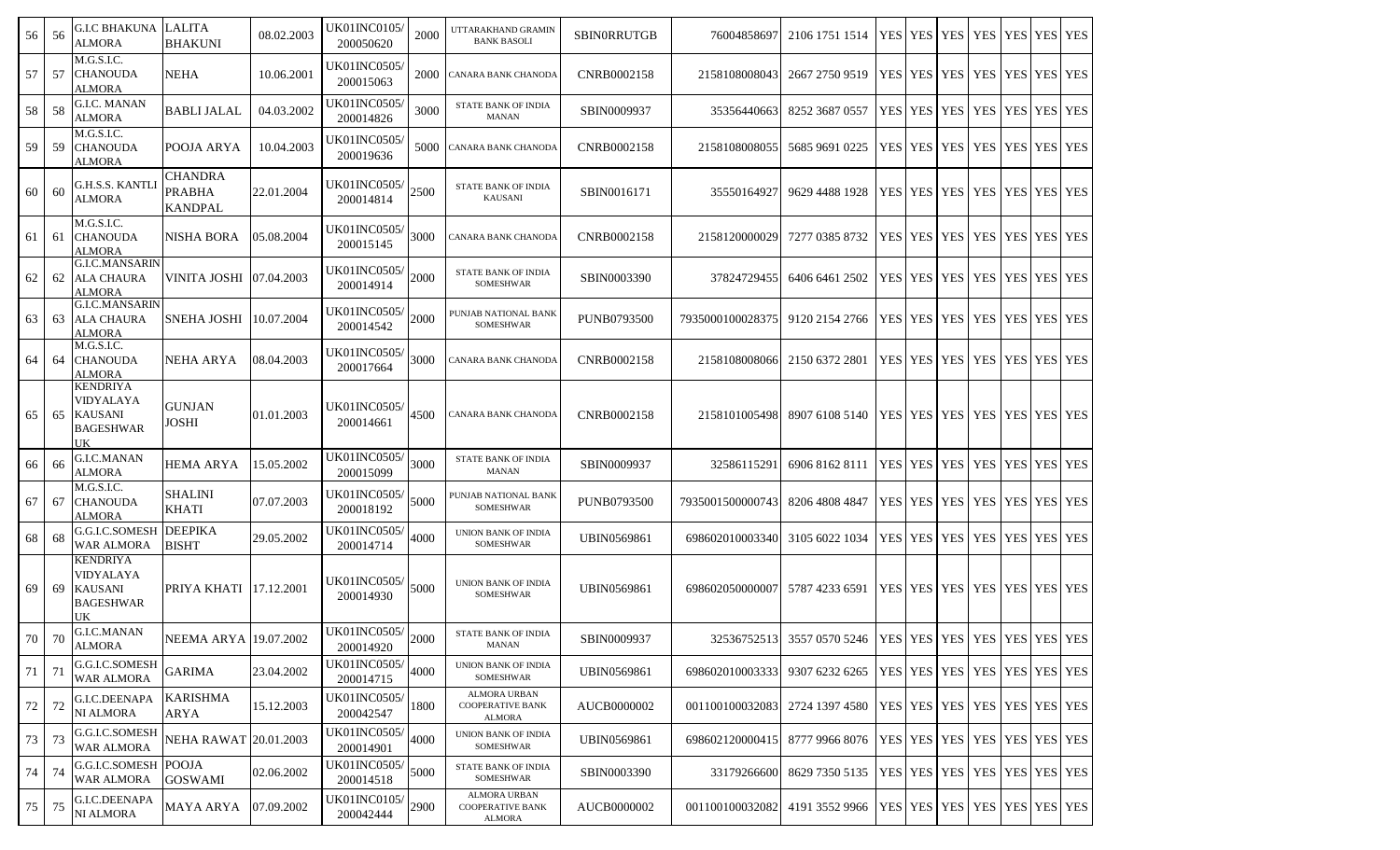| 56 | 56  | <b>G.I.C BHAKUNA</b><br><b>ALMORA</b>                                    | <b>LALITA</b><br><b>BHAKUNI</b>                   | 08.02.2003 | UK01INC0105/<br>200050620         | 2000 | UTTARAKHAND GRAMIN<br><b>BANK BASOLI</b>                 | <b>SBINORRUTGB</b> | 76004858697                    | 2106 1751 1514                                                             |            | YES   YES   YES |                       | <b>YES</b>                              | YES YES YES        |  |
|----|-----|--------------------------------------------------------------------------|---------------------------------------------------|------------|-----------------------------------|------|----------------------------------------------------------|--------------------|--------------------------------|----------------------------------------------------------------------------|------------|-----------------|-----------------------|-----------------------------------------|--------------------|--|
| 57 | 57  | M.G.S.I.C.<br><b>CHANOUDA</b><br>ALMORA                                  | <b>NEHA</b>                                       | 10.06.2001 | UK01INC0505/<br>200015063         | 2000 | CANARA BANK CHANODA                                      | CNRB0002158        | 2158108008043                  | 2667 2750 9519                                                             |            |                 | YES   YES   YES   YES |                                         | YES YES YES        |  |
| 58 | 58  | <b>G.I.C. MANAN</b><br><b>ALMORA</b>                                     | <b>BABLIJALAL</b>                                 | 04.03.2002 | UK01INC0505/<br>200014826         | 3000 | STATE BANK OF INDIA<br><b>MANAN</b>                      | SBIN0009937        | 35356440663                    | 8252 3687 0557                                                             |            |                 | YES YES YES YES       |                                         | <b>YES YES YES</b> |  |
| 59 | 59  | M.G.S.I.C.<br><b>CHANOUDA</b><br>ALMORA                                  | POOJA ARYA                                        | 10.04.2003 | UK01INC0505/<br>200019636         | 5000 | <b>CANARA BANK CHANODA</b>                               | CNRB0002158        | 2158108008055                  | 5685 9691 0225                                                             |            |                 |                       | YES   YES   YES   YES   YES   YES   YES |                    |  |
| 60 | 60  | G.H.S.S. KANTLI<br><b>ALMORA</b>                                         | <b>CHANDRA</b><br><b>PRABHA</b><br><b>KANDPAL</b> | 22.01.2004 | <b>UK01INC0505/</b><br>200014814  | 2500 | <b>STATE BANK OF INDIA</b><br><b>KAUSANI</b>             | SBIN0016171        | 35550164927                    | 9629 4488 1928                                                             |            |                 | YES   YES   YES   YES |                                         | YES YES YES        |  |
| 61 | -61 | M.G.S.I.C.<br><b>CHANOUDA</b><br><b>ALMORA</b>                           | NISHA BORA                                        | 05.08.2004 | <b>UK01INC0505</b> /<br>200015145 | 3000 | CANARA BANK CHANODA                                      | CNRB0002158        | 2158120000029                  | 7277 0385 8732                                                             | <b>YES</b> |                 | YES YES YES           |                                         | YES YES YES        |  |
| 62 | 62  | <b>G.I.C.MANSARIN</b><br><b>ALA CHAURA</b><br><b>ALMORA</b>              | VINITA JOSHI                                      | 07.04.2003 | UK01INC0505/<br>200014914         | 2000 | STATE BANK OF INDIA<br>SOMESHWAR                         | SBIN0003390        | 37824729455                    | 6406 6461 2502                                                             |            |                 | YES   YES   YES   YES |                                         | YES YES YES        |  |
| 63 | 63  | <b>G.I.C.MANSARIN</b><br><b>ALA CHAURA</b><br>ALMORA                     | <b>SNEHA JOSHI</b>                                | 10.07.2004 | UK01INC0505/<br>200014542         | 2000 | PUNJAB NATIONAL BANK<br>SOMESHWAR                        | <b>PUNB0793500</b> | 7935000100028375               | 9120 2154 2766                                                             |            |                 | YES   YES   YES   YES |                                         | YES YES YES        |  |
| 64 | 64  | M.G.S.I.C.<br><b>CHANOUDA</b><br>ALMORA                                  | NEHA ARYA                                         | 08.04.2003 | UK01INC0505/<br>200017664         | 3000 | CANARA BANK CHANODA                                      | CNRB0002158        | 2158108008066                  | 2150 6372 2801                                                             |            |                 | YES YES YES           | <b>YES</b>                              | YES YES YES        |  |
| 65 | 65  | <b>KENDRIYA</b><br>VIDYALAYA<br><b>KAUSANI</b><br><b>BAGESHWAR</b><br>UK | <b>GUNJAN</b><br>JOSHI                            | 01.01.2003 | UK01INC0505/<br>200014661         | 4500 | CANARA BANK CHANODA                                      | CNRB0002158        |                                | 2158101005498 8907 6108 5140                                               |            |                 |                       | YES   YES   YES   YES   YES   YES   YES |                    |  |
| 66 | 66  | <b>G.I.C.MANAN</b><br><b>ALMORA</b>                                      | HEMA ARYA                                         | 15.05.2002 | UK01INC0505/<br>200015099         | 3000 | STATE BANK OF INDIA<br><b>MANAN</b>                      | SBIN0009937        | 32586115291                    | 6906 8162 8111                                                             |            |                 | YES   YES   YES   YES |                                         | YES YES YES        |  |
| 67 | 67  | M.G.S.I.C.<br><b>CHANOUDA</b><br>ALMORA                                  | <b>SHALINI</b><br><b>KHATI</b>                    | 07.07.2003 | UK01INC0505/<br>200018192         | 5000 | PUNJAB NATIONAL BANK<br><b>SOMESHWAR</b>                 | <b>PUNB0793500</b> | 7935001500000743               | 8206 4808 4847                                                             |            |                 | YES   YES   YES   YES |                                         | YES YES YES        |  |
| 68 | 68  | <b>G.G.I.C.SOMESH DEEPIKA</b><br>WAR ALMORA                              | <b>BISHT</b>                                      | 29.05.2002 | UK01INC0505/<br>200014714         | 4000 | UNION BANK OF INDIA<br><b>SOMESHWAR</b>                  | <b>UBIN0569861</b> | 698602010003340                | 3105 6022 1034                                                             |            |                 | YES YES YES           | <b>YES</b>                              | YES YES YES        |  |
| 69 | 69  | <b>KENDRIYA</b><br>VIDYALAYA<br><b>KAUSANI</b><br><b>BAGESHWAR</b><br>UK | PRIYA KHATI 17.12.2001                            |            | UK01INC0505/<br>200014930         | 5000 | UNION BANK OF INDIA<br>SOMESHWAR                         | <b>UBIN0569861</b> | 698602050000007                | 5787 4233 6591                                                             |            |                 |                       | YES   YES   YES   YES   YES   YES   YES |                    |  |
| 70 | 70  | <b>G.I.C.MANAN</b><br><b>ALMORA</b>                                      | <b>NEEMA ARYA</b> 19.07.2002                      |            | UK01INC0505/<br>200014920         | 2000 | STATE BANK OF INDIA<br><b>MANAN</b>                      | SBIN0009937        |                                | 32536752513 3557 0570 5246   YES   YES   YES   YES   YES   YES   YES   YES |            |                 |                       |                                         |                    |  |
| 71 | 71  | G.G.I.C.SOMESH<br><b>WAR ALMORA</b>                                      | <b>GARIMA</b>                                     | 23.04.2002 | UK01INC0505/<br>200014715         | 4000 | UNION BANK OF INDIA<br>SOMESHWAR                         | UBIN0569861        | 698602010003333                | 9307 6232 6265                                                             |            |                 |                       | YES YES YES YES YES YES YES             |                    |  |
| 72 | 72  | G.I.C.DEENAPA<br><b>NI ALMORA</b>                                        | <b>KARISHMA</b><br>ARYA                           | 15.12.2003 | UK01INC0505/<br>200042547         | 1800 | ALMORA URBAN<br><b>COOPERATIVE BANK</b><br><b>ALMORA</b> | AUCB0000002        | 001100100032083 2724 1397 4580 |                                                                            |            |                 |                       | YES YES YES YES YES YES YES             |                    |  |
| 73 | 73  | G.G.I.C.SOMESH<br><b>WAR ALMORA</b>                                      | <b>NEHA RAWAT 20.01.2003</b>                      |            | UK01INC0505/<br>200014901         | 4000 | UNION BANK OF INDIA<br>SOMESHWAR                         | UBIN0569861        | 698602120000415                | 8777 9966 8076                                                             |            |                 |                       | YES YES YES YES YES YES YES             |                    |  |
| 74 | 74  | G.G.I.C.SOMESH POOJA<br>WAR ALMORA                                       | <b>GOSWAMI</b>                                    | 02.06.2002 | UK01INC0505/<br>200014518         | 5000 | STATE BANK OF INDIA<br>SOMESHWAR                         | SBIN0003390        | 33179266600                    | 8629 7350 5135                                                             |            |                 |                       | YES   YES   YES   YES   YES   YES   YES |                    |  |
| 75 | 75  | G.I.C.DEENAPA<br><b>NI ALMORA</b>                                        | MAYA ARYA                                         | 07.09.2002 | UK01INC0105/<br>200042444         | 2900 | ALMORA URBAN<br><b>COOPERATIVE BANK</b><br>ALMORA        | AUCB0000002        | 001100100032082                | 4191 3552 9966                                                             |            |                 |                       | YES   YES   YES   YES   YES   YES   YES |                    |  |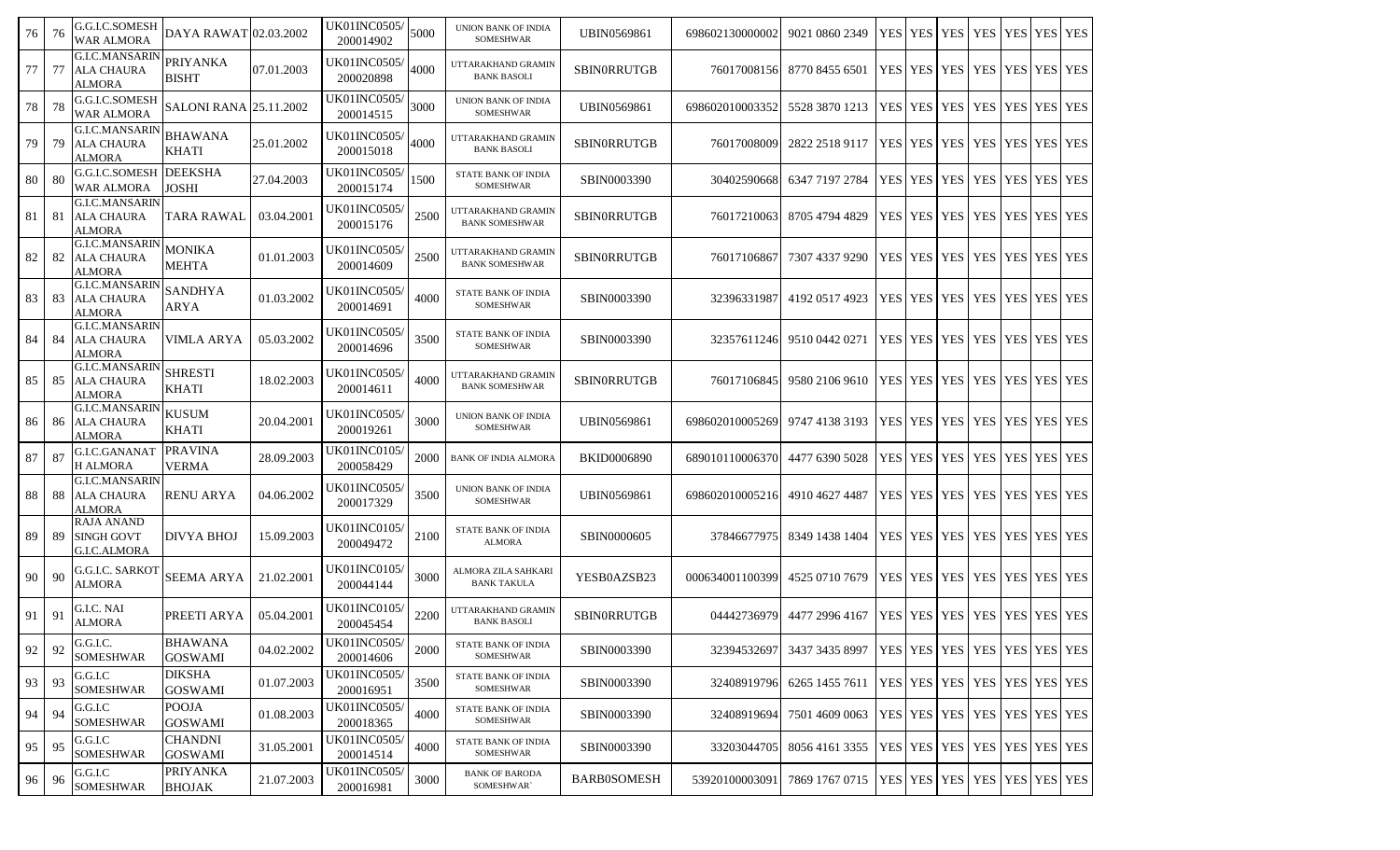| 76 | 76   | G.G.I.C.SOMESH<br><b>WAR ALMORA</b>                         | DAYA RAWAT 02.03.2002            |            | UK01INC0505/<br>200014902        | 5000 | UNION BANK OF INDIA<br>SOMESHWAR            | UBIN0569861        | 698602130000002 | 9021 0860 2349                                           | YES        |                       | YES   YES   YES |                                         | YES YES YES        |  |
|----|------|-------------------------------------------------------------|----------------------------------|------------|----------------------------------|------|---------------------------------------------|--------------------|-----------------|----------------------------------------------------------|------------|-----------------------|-----------------|-----------------------------------------|--------------------|--|
| 77 | 77   | <b>G.I.C.MANSARIN</b><br><b>ALA CHAURA</b><br>ALMORA        | <b>PRIYANKA</b><br><b>BISHT</b>  | 07.01.2003 | UK01INC0505/<br>200020898        | 4000 | UTTARAKHAND GRAMIN<br><b>BANK BASOLI</b>    | <b>SBINORRUTGB</b> | 76017008156     | 8770 8455 6501                                           |            | YES YES YES YES       |                 |                                         | YES YES YES        |  |
| 78 | 78   | G.G.I.C.SOMESH<br><b>WAR ALMORA</b>                         | <b>SALONI RANA 25.11.2002</b>    |            | <b>UK01INC0505/</b><br>200014515 | 3000 | UNION BANK OF INDIA<br>SOMESHWAR            | <b>UBIN0569861</b> | 698602010003352 | 5528 3870 1213                                           | YES        |                       | YES   YES   YES |                                         | YES YES YES        |  |
| 79 | 79   | <b>G.I.C.MANSARIN</b><br><b>ALA CHAURA</b><br><b>ALMORA</b> | <b>BHAWANA</b><br><b>KHATI</b>   | 25.01.2002 | UK01INC0505/<br>200015018        | 4000 | UTTARAKHAND GRAMIN<br><b>BANK BASOLI</b>    | <b>SBINORRUTGB</b> | 76017008009     | 2822 2518 9117                                           |            | YES   YES   YES   YES |                 |                                         | YES YES YES        |  |
| 80 | -80  | <b>G.G.I.C.SOMESH DEEKSHA</b><br><b>WAR ALMORA</b>          | JOSHI                            | 27.04.2003 | <b>UK01INC0505/</b><br>200015174 | 1500 | STATE BANK OF INDIA<br>SOMESHWAR            | SBIN0003390        | 30402590668     | 6347 7197 2784                                           | <b>YES</b> |                       | YES YES YES     |                                         | YES YES YES        |  |
| 81 | 81   | <b>G.I.C.MANSARIN</b><br><b>ALA CHAURA</b><br><b>ALMORA</b> | TARA RAWAL                       | 03.04.2001 | UK01INC0505/<br>200015176        | 2500 | UTTARAKHAND GRAMIN<br><b>BANK SOMESHWAR</b> | SBINORRUTGB        | 76017210063     | 8705 4794 4829                                           |            |                       |                 | YES   YES   YES   YES                   | <b>YES YES YES</b> |  |
| 82 | 82   | <b>G.I.C.MANSARIN</b><br><b>ALA CHAURA</b><br><b>ALMORA</b> | MONIKA<br><b>MEHTA</b>           | 01.01.2003 | UK01INC0505/<br>200014609        | 2500 | UTTARAKHAND GRAMIN<br><b>BANK SOMESHWAR</b> | SBINORRUTGB        | 76017106867     | 7307 4337 9290                                           | YES        |                       |                 | YES YES YES                             | YES YES YES        |  |
| 83 | 83   | <b>G.I.C.MANSARIN</b><br><b>ALA CHAURA</b><br><b>ALMORA</b> | SANDHYA<br>ARYA                  | 01.03.2002 | UK01INC0505/<br>200014691        | 4000 | STATE BANK OF INDIA<br>SOMESHWAR            | SBIN0003390        | 32396331987     | 4192 0517 4923                                           |            |                       |                 | YES   YES   YES   YES   YES   YES   YES |                    |  |
| 84 | 84   | <b>G.I.C.MANSARIN</b><br><b>ALA CHAURA</b><br><b>ALMORA</b> | VIMLA ARYA                       | 05.03.2002 | <b>UK01INC0505/</b><br>200014696 | 3500 | STATE BANK OF INDIA<br>SOMESHWAR            | SBIN0003390        | 32357611246     | 9510 0442 0271                                           | <b>YES</b> |                       |                 | YES   YES   YES                         | YES YES YES        |  |
| 85 | 85   | <b>G.I.C.MANSARIN</b><br><b>ALA CHAURA</b><br>ALMORA        | <b>SHRESTI</b><br><b>KHATI</b>   | 18.02.2003 | <b>UK01INC0505</b><br>200014611  | 4000 | UTTARAKHAND GRAMIN<br><b>BANK SOMESHWAR</b> | <b>SBINORRUTGB</b> | 76017106845     | 9580 2106 9610                                           | <b>YES</b> |                       | YES YES         | <b>YES</b>                              | YES YES YES        |  |
| 86 | 86   | <b>G.I.C.MANSARIN</b><br><b>ALA CHAURA</b><br><b>ALMORA</b> | <b>KUSUM</b><br><b>KHATI</b>     | 20.04.2001 | UK01INC0505/<br>200019261        | 3000 | UNION BANK OF INDIA<br>SOMESHWAR            | <b>UBIN0569861</b> | 698602010005269 | 9747 4138 3193                                           | <b>YES</b> |                       | YES YES YES     |                                         | YES YES YES        |  |
| 87 | 87   | G.I.C.GANANAT<br><b>H ALMORA</b>                            | <b>PRAVINA</b><br><b>VERMA</b>   | 28.09.2003 | UK01INC0105/<br>200058429        | 2000 | <b>BANK OF INDIA ALMORA</b>                 | <b>BKID0006890</b> | 689010110006370 | 4477 6390 5028                                           | YES        |                       | YES YES YES     |                                         | YES YES YES        |  |
| 88 | 88   | <b>G.I.C.MANSARIN</b><br><b>ALA CHAURA</b><br>ALMORA        | <b>RENU ARYA</b>                 | 04.06.2002 | UK01INC0505/<br>200017329        | 3500 | UNION BANK OF INDIA<br>SOMESHWAR            | <b>UBIN0569861</b> | 698602010005216 | 4910 4627 4487                                           |            | YES   YES   YES   YES |                 |                                         | YES YES YES        |  |
| 89 | 89   | <b>RAJA ANAND</b><br><b>SINGH GOVT</b><br>G.I.C.ALMORA      | <b>DIVYA BHOJ</b>                | 15.09.2003 | UK01INC0105/<br>200049472        | 2100 | STATE BANK OF INDIA<br><b>ALMORA</b>        | SBIN0000605        | 37846677975     | 8349 1438 1404                                           |            |                       |                 | YES   YES   YES   YES                   | YES YES YES        |  |
| 90 | 90   | G.G.I.C. SARKOT<br><b>ALMORA</b>                            | <b>SEEMA ARYA</b>                | 21.02.2001 | UK01INC0105/<br>200044144        | 3000 | ALMORA ZILA SAHKARI<br><b>BANK TAKULA</b>   | YESB0AZSB23        | 000634001100399 | 4525 0710 7679                                           |            | YES YES YES YES       |                 |                                         | YES YES YES        |  |
| 91 | 91   | G.I.C. NAI<br><b>ALMORA</b>                                 | PREETI ARYA                      | 05.04.2001 | <b>UK01INC0105/</b><br>200045454 | 2200 | UTTARAKHAND GRAMIN<br><b>BANK BASOLI</b>    | <b>SBINORRUTGB</b> | 04442736979     | 4477 2996 4167                                           | YES        |                       | YES   YES   YES |                                         | YES YES YES        |  |
| 92 | 92   | G.G.I.C.<br><b>SOMESHWAR</b>                                | <b>BHAWANA</b><br><b>GOSWAMI</b> | 04.02.2002 | <b>UK01INC0505</b><br>200014606  | 2000 | STATE BANK OF INDIA<br><b>SOMESHWAR</b>     | SBIN0003390        | 32394532697     | 3437 3435 8997   YES   YES   YES   YES   YES   YES   YES |            |                       |                 |                                         |                    |  |
| 93 | 93   | G.G.I.C<br><b>SOMESHWAR</b>                                 | <b>DIKSHA</b><br><b>GOSWAMI</b>  | 01.07.2003 | UK01INC0505/<br>200016951        | 3500 | STATE BANK OF INDIA<br><b>SOMESHWAR</b>     | SBIN0003390        | 32408919796     | 6265 1455 7611                                           |            |                       |                 | YES YES YES YES YES YES YES             |                    |  |
| 94 | 94   | G.G.I.C<br><b>SOMESHWAR</b>                                 | <b>POOJA</b><br><b>GOSWAMI</b>   | 01.08.2003 | UK01INC0505/<br>200018365        | 4000 | STATE BANK OF INDIA<br><b>SOMESHWAR</b>     | SBIN0003390        | 324089196941    | 7501 4609 0063                                           |            |                       |                 | YES YES YES YES YES YES YES YES         |                    |  |
| 95 | 95   | G.G.I.C<br><b>SOMESHWAR</b>                                 | <b>CHANDNI</b><br><b>GOSWAMI</b> | 31.05.2001 | <b>UK01INC0505/</b><br>200014514 | 4000 | STATE BANK OF INDIA<br>SOMESHWAR            | SBIN0003390        | 33203044705     | 8056 4161 3355                                           |            |                       |                 | YES YES YES YES YES YES YES YES         |                    |  |
| 96 | - 96 | G.G.I.C<br><b>SOMESHWAR</b>                                 | <b>PRIYANKA</b><br><b>BHOJAK</b> | 21.07.2003 | <b>UK01INC0505/</b><br>200016981 | 3000 | <b>BANK OF BARODA</b><br>SOMESHWAR`         | <b>BARB0SOMESH</b> | 53920100003091  | 7869 1767 0715                                           |            |                       |                 | YES   YES   YES   YES   YES   YES   YES |                    |  |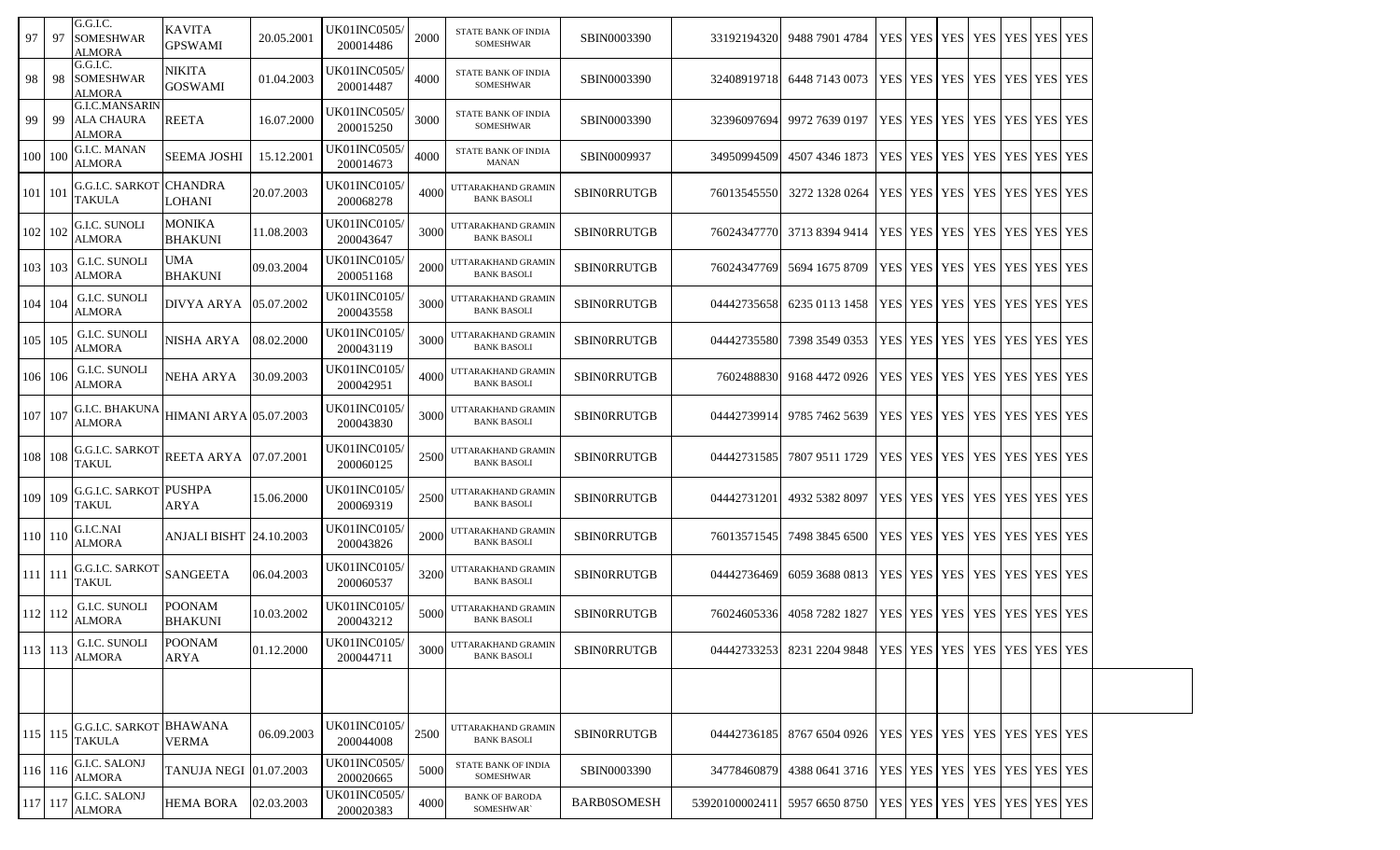| 97      | -97         | G.G.I.C.<br><b>SOMESHWAR</b><br>ALMORA               | KAVITA<br><b>GPSWAMI</b>        | 20.05.2001 | UK01INC0505/<br>200014486        | 2000 | STATE BANK OF INDIA<br>SOMESHWAR         | SBIN0003390        | 33192194320   | 9488 7901 4784                                                 |  | YES YES YES | YES   YES   YES   YES                   |  |  |
|---------|-------------|------------------------------------------------------|---------------------------------|------------|----------------------------------|------|------------------------------------------|--------------------|---------------|----------------------------------------------------------------|--|-------------|-----------------------------------------|--|--|
| 98      | -98         | G.G.I.C.<br><b>SOMESHWAR</b><br>ALMORA               | NIKITA<br><b>GOSWAMI</b>        | 01.04.2003 | UK01INC0505/<br>200014487        | 4000 | STATE BANK OF INDIA<br>SOMESHWAR         | SBIN0003390        | 32408919718   | 6448 7143 0073                                                 |  |             | YES   YES   YES   YES   YES   YES   YES |  |  |
| 99      | -99         | <b>G.I.C.MANSARIN</b><br><b>ALA CHAURA</b><br>ALMORA | <b>REETA</b>                    | 16.07.2000 | UK01INC0505/<br>200015250        | 3000 | STATE BANK OF INDIA<br>SOMESHWAR         | SBIN0003390        | 32396097694   | 9972 7639 0197                                                 |  |             | YES   YES   YES   YES   YES   YES   YES |  |  |
|         | 100 100     | G.I.C. MANAN<br>ALMORA                               | <b>SEEMA JOSHI</b>              | 15.12.2001 | UK01INC0505/<br>200014673        | 4000 | STATE BANK OF INDIA<br><b>MANAN</b>      | SBIN0009937        | 34950994509   | 4507 4346 1873                                                 |  |             | YES   YES   YES   YES   YES   YES   YES |  |  |
|         | 101 101     | G.G.I.C. SARKOT<br>TAKULA                            | <b>CHANDRA</b><br>LOHANI        | 20.07.2003 | UK01INC0105/<br>200068278        | 4000 | UTTARAKHAND GRAMIN<br><b>BANK BASOLI</b> | SBINORRUTGB        | 76013545550   | 3272 1328 0264                                                 |  |             | YES   YES   YES   YES   YES   YES   YES |  |  |
|         | 102 102     | G.I.C. SUNOLI<br>ALMORA                              | <b>MONIKA</b><br><b>BHAKUNI</b> | 11.08.2003 | UK01INC0105/<br>200043647        | 3000 | UTTARAKHAND GRAMIN<br><b>BANK BASOLI</b> | SBINORRUTGB        | 76024347770   | 3713 8394 9414                                                 |  |             | YES   YES   YES   YES   YES   YES   YES |  |  |
|         | 103 103     | G.I.C. SUNOLI<br><b>ALMORA</b>                       | UMA<br><b>BHAKUNI</b>           | 09.03.2004 | UK01INC0105/<br>200051168        | 2000 | UTTARAKHAND GRAMIN<br><b>BANK BASOLI</b> | SBINORRUTGB        | 76024347769   | 5694 1675 8709                                                 |  |             | YES   YES   YES   YES   YES   YES   YES |  |  |
|         | 104 104     | G.I.C. SUNOLI<br>ALMORA                              | <b>DIVYA ARYA</b>               | 05.07.2002 | UK01INC0105/<br>200043558        | 3000 | UTTARAKHAND GRAMIN<br><b>BANK BASOLI</b> | <b>SBINORRUTGB</b> | 04442735658   | 6235 0113 1458                                                 |  |             | YES YES YES YES YES YES YES YES         |  |  |
|         | 105 105     | G.I.C. SUNOLI<br>ALMORA                              | NISHA ARYA                      | 08.02.2000 | UK01INC0105/<br>200043119        | 3000 | UTTARAKHAND GRAMIN<br><b>BANK BASOLI</b> | SBINORRUTGB        | 04442735580   | 7398 3549 0353                                                 |  |             | YES   YES   YES   YES   YES   YES   YES |  |  |
|         | 106 106     | <b>G.I.C. SUNOLI</b><br><b>ALMORA</b>                | NEHA ARYA                       | 30.09.2003 | UK01INC0105/<br>200042951        | 4000 | UTTARAKHAND GRAMIN<br><b>BANK BASOLI</b> | SBINORRUTGB        | 7602488830    | 9168 4472 0926                                                 |  |             | YES   YES   YES   YES   YES   YES   YES |  |  |
|         | 107 107     | G.I.C. BHAKUNA<br>ALMORA                             | HIMANI ARYA 05.07.2003          |            | UK01INC0105/<br>200043830        | 3000 | UTTARAKHAND GRAMIN<br><b>BANK BASOLI</b> | SBINORRUTGB        | 04442739914   | 9785 7462 5639                                                 |  |             | YES   YES   YES   YES   YES   YES   YES |  |  |
|         | 108 108     | G.G.I.C. SARKOT<br>TAKUL                             | <b>REETA ARYA</b>               | 07.07.2001 | UK01INC0105/<br>200060125        | 2500 | UTTARAKHAND GRAMIN<br><b>BANK BASOLI</b> | SBINORRUTGB        | 04442731585   | 7807 9511 1729                                                 |  |             | YES   YES   YES   YES   YES   YES   YES |  |  |
|         | 109 109     | <b>G.G.I.C. SARKOT PUSHPA</b><br>TAKUL               | ARYA                            | 15.06.2000 | UK01INC0105/<br>200069319        | 2500 | UTTARAKHAND GRAMIN<br><b>BANK BASOLI</b> | SBINORRUTGB        | 04442731201   | 4932 5382 8097                                                 |  |             | YES YES YES YES YES YES YES YES         |  |  |
|         | 110 110     | G.I.C.NAI<br><b>ALMORA</b>                           | <b>ANJALI BISHT 24.10.2003</b>  |            | UK01INC0105/<br>200043826        | 2000 | UTTARAKHAND GRAMIN<br><b>BANK BASOLI</b> | <b>SBINORRUTGB</b> | 76013571545   | 7498 3845 6500                                                 |  |             | YES   YES   YES   YES   YES   YES   YES |  |  |
|         | $111$   111 | G.G.I.C. SARKOT<br>TAKUL                             | <b>SANGEETA</b>                 | 06.04.2003 | UK01INC0105/<br>200060537        | 3200 | UTTARAKHAND GRAMIN<br><b>BANK BASOLI</b> | SBINORRUTGB        | 04442736469   | 6059 3688 0813                                                 |  |             | YES YES YES YES YES YES YES YES         |  |  |
|         | 112 112     | G.I.C. SUNOLI<br><b>ALMORA</b>                       | <b>POONAM</b><br><b>BHAKUNI</b> | 10.03.2002 | UK01INC0105/<br>200043212        | 5000 | UTTARAKHAND GRAMIN<br><b>BANK BASOLI</b> | SBINORRUTGB        | 76024605336   | 4058 7282 1827                                                 |  |             | YES   YES   YES   YES   YES   YES   YES |  |  |
|         | 113 113     | G.I.C. SUNOLI<br><b>ALMORA</b>                       | <b>POONAM</b><br><b>ARYA</b>    | 01.12.2000 | UK01INC0105/<br>200044711        | 3000 | UTTARAKHAND GRAMIN<br><b>BANK BASOLI</b> | <b>SBINORRUTGB</b> | 04442733253   | 8231 2204 9848   YES   YES   YES   YES   YES   YES   YES       |  |             |                                         |  |  |
|         |             |                                                      |                                 |            |                                  |      |                                          |                    |               |                                                                |  |             |                                         |  |  |
|         | $115$   115 | G.G.I.C. SARKOT<br>TAKULA                            | <b>BHAWANA</b><br><b>VERMA</b>  | 06.09.2003 | UK01INC0105/<br>200044008        | 2500 | UTTARAKHAND GRAMIN<br><b>BANK BASOLI</b> | SBINORRUTGB        | 04442736185   | 8767 6504 0926                                                 |  |             | <b>YES YES YES YES YES YES YES</b>      |  |  |
|         | 116 116     | G.I.C. SALONJ<br>ALMORA                              | TANUJA NEGI 01.07.2003          |            | <b>UK01INC0505/</b><br>200020665 | 5000 | STATE BANK OF INDIA<br><b>SOMESHWAR</b>  | SBIN0003390        | 34778460879   | 4388 0641 3716   YES   YES   YES   YES   YES   YES   YES   YES |  |             |                                         |  |  |
| 117 117 |             | G.I.C. SALONJ<br><b>ALMORA</b>                       | <b>HEMA BORA</b>                | 02.03.2003 | <b>UK01INC0505/</b><br>200020383 | 4000 | <b>BANK OF BARODA</b><br>SOMESHWAR`      | <b>BARB0SOMESH</b> | 5392010000241 | 5957 6650 8750   YES   YES   YES   YES   YES   YES   YES   YES |  |             |                                         |  |  |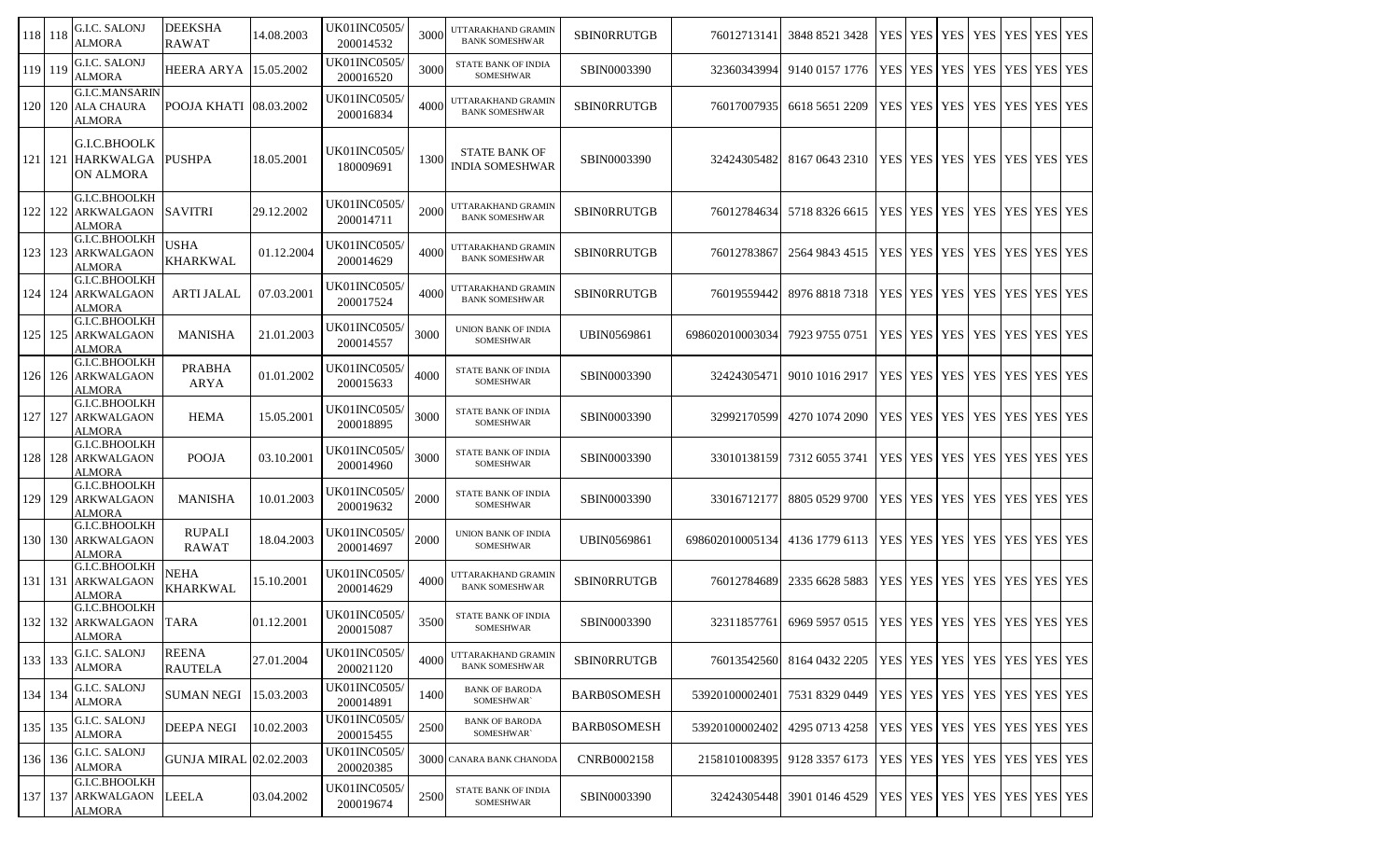| 118 118   |           | G.I.C. SALONJ<br><b>ALMORA</b>                           | <b>DEEKSHA</b><br><b>RAWAT</b> | 14.08.2003 | <b>UK01INC0505/</b><br>200014532 | 3000 | UTTARAKHAND GRAMIN<br><b>BANK SOMESHWAR</b> | <b>SBINORRUTGB</b> | 76012713141     | 3848 8521 3428 | YES        | <b>YES</b> | <b>YES</b>                              | <b>YES</b> |             | YES YES YES |
|-----------|-----------|----------------------------------------------------------|--------------------------------|------------|----------------------------------|------|---------------------------------------------|--------------------|-----------------|----------------|------------|------------|-----------------------------------------|------------|-------------|-------------|
| 119 119   |           | G.I.C. SALONJ<br><b>ALMORA</b>                           | <b>HEERA ARYA</b>              | 15.05.2002 | UK01INC0505/<br>200016520        | 3000 | STATE BANK OF INDIA<br>SOMESHWAR            | SBIN0003390        | 32360343994     | 9140 0157 1776 | <b>YES</b> | <b>YES</b> | <b>YES</b>                              | <b>YES</b> | YES YES YES |             |
| 120       | 120       | <b>G.I.C.MANSARIN</b><br><b>ALA CHAURA</b><br>ALMORA     | POOJA KHATI                    | 08.03.2002 | UK01INC0505/<br>200016834        | 4000 | UTTARAKHAND GRAMIN<br><b>BANK SOMESHWAR</b> | SBINORRUTGB        | 76017007935     | 6618 5651 2209 | <b>YES</b> |            | YES YES YES                             |            | YES YES YES |             |
|           | 121   121 | G.I.C.BHOOLK<br><b>HARKWALGA</b><br>ON ALMORA            | <b>PUSHPA</b>                  | 18.05.2001 | <b>UK01INC0505</b><br>180009691  | 1300 | <b>STATE BANK OF</b><br>INDIA SOMESHWAR     | SBIN0003390        | 32424305482     | 8167 0643 2310 |            |            | YES YES YES YES YES YES YES             |            |             |             |
| 122       | 122       | G.I.C.BHOOLKH<br>ARKWALGAON<br>ALMORA                    | <b>SAVITRI</b>                 | 29.12.2002 | UK01INC0505/<br>200014711        | 2000 | UTTARAKHAND GRAMIN<br><b>BANK SOMESHWAR</b> | <b>SBINORRUTGB</b> | 76012784634     | 5718 8326 6615 |            |            | YES YES YES YES                         |            | YES YES YES |             |
| 123       |           | G.I.C.BHOOLKH<br>123 ARKWALGAON<br>ALMORA                | USHA<br><b>KHARKWAL</b>        | 01.12.2004 | UK01INC0505/<br>200014629        | 4000 | UTTARAKHAND GRAMIN<br><b>BANK SOMESHWAR</b> | <b>SBINORRUTGB</b> | 76012783867     | 2564 9843 4515 | <b>YES</b> |            | YES YES YES                             |            | YES YES YES |             |
| 124 I     | 124       | G.I.C.BHOOLKH<br><b>ARKWALGAON</b><br><b>ALMORA</b>      | <b>ARTI JALAL</b>              | 07.03.2001 | <b>UK01INC0505</b><br>200017524  | 4000 | UTTARAKHAND GRAMIN<br><b>BANK SOMESHWAR</b> | <b>SBINORRUTGB</b> | 76019559442     | 8976 8818 7318 | <b>YES</b> | <b>YES</b> | <b>YES</b>                              | <b>YES</b> | YES YES YES |             |
| 125 125   |           | G.I.C.BHOOLKH<br><b>ARKWALGAON</b><br>ALMORA             | <b>MANISHA</b>                 | 21.01.2003 | <b>UK01INC0505</b><br>200014557  | 3000 | UNION BANK OF INDIA<br>SOMESHWAR            | <b>UBIN0569861</b> | 698602010003034 | 7923 9755 0751 | <b>YES</b> | <b>YES</b> | <b>YES</b>                              | <b>YES</b> | YES YES YES |             |
|           |           | G.I.C.BHOOLKH<br>126 126 ARKWALGAON<br>ALMORA            | <b>PRABHA</b><br><b>ARYA</b>   | 01.01.2002 | UK01INC0505/<br>200015633        | 4000 | STATE BANK OF INDIA<br>SOMESHWAR            | SBIN0003390        | 32424305471     | 9010 1016 2917 | <b>YES</b> |            | YES YES YES                             |            | YES YES YES |             |
| 127 127   |           | G.I.C.BHOOLKH<br><b>ARKWALGAON</b><br>ALMORA             | <b>HEMA</b>                    | 15.05.2001 | <b>UK01INC0505/</b><br>200018895 | 3000 | STATE BANK OF INDIA<br><b>SOMESHWAR</b>     | SBIN0003390        | 32992170599     | 4270 1074 2090 |            |            | YES   YES   YES   YES                   |            | YES YES YES |             |
|           |           | G.I.C.BHOOLKH<br>128 128 ARKWALGAON<br>ALMORA            | <b>POOJA</b>                   | 03.10.2001 | UK01INC0505/<br>200014960        | 3000 | STATE BANK OF INDIA<br><b>SOMESHWAR</b>     | SBIN0003390        | 33010138159     | 7312 6055 3741 |            |            | YES   YES   YES   YES                   |            | YES YES YES |             |
| 129       | 129       | G.I.C.BHOOLKH<br><b>ARKWALGAON</b><br>ALMORA             | <b>MANISHA</b>                 | 10.01.2003 | UK01INC0505/<br>200019632        | 2000 | STATE BANK OF INDIA<br>SOMESHWAR            | SBIN0003390        | 33016712177     | 8805 0529 9700 |            |            | YES   YES   YES   YES                   |            | YES YES YES |             |
|           | 130   130 | G.I.C.BHOOLKH<br><b>ARKWALGAON</b><br>ALMORA             | <b>RUPALI</b><br><b>RAWAT</b>  | 18.04.2003 | UK01INC0505/<br>200014697        | 2000 | UNION BANK OF INDIA<br>SOMESHWAR            | <b>UBIN0569861</b> | 698602010005134 | 4136 1779 6113 | <b>YES</b> |            | YES YES YES                             |            | YES YES YES |             |
|           | 131   131 | G.I.C.BHOOLKH<br><b>ARKWALGAON</b><br>ALMORA             | NEHA<br><b>KHARKWAL</b>        | 15.10.2001 | UK01INC0505/<br>200014629        | 4000 | UTTARAKHAND GRAMIN<br><b>BANK SOMESHWAR</b> | SBINORRUTGB        | 76012784689     | 2335 6628 5883 |            |            | YES   YES   YES   YES                   |            | YES YES YES |             |
| 132       |           | G.I.C.BHOOLKH<br>132 ARKWALGAON<br><b>ALMORA</b>         | <b>TARA</b>                    | 01.12.2001 | <b>UK01INC0505</b><br>200015087  | 3500 | STATE BANK OF INDIA<br>SOMESHWAR            | SBIN0003390        | 32311857761     | 6969 5957 0515 | <b>YES</b> |            | YES YES YES                             |            | YES YES YES |             |
| 133 133   |           | G.I.C. SALONJ<br><b>ALMORA</b>                           | <b>REENA</b><br><b>RAUTELA</b> | 27.01.2004 | <b>UK01INC0505/</b><br>200021120 | 4000 | UTTARAKHAND GRAMIN<br><b>BANK SOMESHWAR</b> | <b>SBINORRUTGB</b> | 76013542560     | 8164 0432 2205 | <b>YES</b> |            | YES   YES   YES                         |            | YES YES YES |             |
| 134 134   |           | G.I.C. SALONJ<br><b>ALMORA</b>                           | <b>SUMAN NEGI</b>              | 15.03.2003 | <b>UK01INC0505/</b><br>200014891 | 1400 | <b>BANK OF BARODA</b><br>SOMESHWAR`         | <b>BARB0SOMESH</b> | 53920100002401  | 7531 8329 0449 |            |            | YES   YES   YES   YES   YES   YES   YES |            |             |             |
| 135   135 |           | G.I.C. SALONJ<br><b>ALMORA</b>                           | <b>DEEPA NEGI</b>              | 10.02.2003 | <b>UK01INC0505/</b><br>200015455 | 2500 | <b>BANK OF BARODA</b><br>SOMESHWAR`         | <b>BARB0SOMESH</b> | 53920100002402  | 4295 0713 4258 |            |            | YES YES YES YES                         |            | YES YES YES |             |
| 136 136   |           | G.I.C. SALONJ<br><b>ALMORA</b>                           | <b>GUNJA MIRAL 02.02.2003</b>  |            | <b>UK01INC0505</b><br>200020385  |      | 3000 CANARA BANK CHANODA                    | CNRB0002158        | 2158101008395   | 9128 3357 6173 |            |            | YES YES YES YES                         |            | YES YES YES |             |
|           |           | G.I.C.BHOOLKH<br>137   137   ARKWALGAON<br><b>ALMORA</b> | <b>LEELA</b>                   | 03.04.2002 | <b>UK01INC0505/</b><br>200019674 | 2500 | STATE BANK OF INDIA<br>SOMESHWAR            | SBIN0003390        | 32424305448     | 3901 0146 4529 |            |            | YES   YES   YES   YES   YES   YES   YES |            |             |             |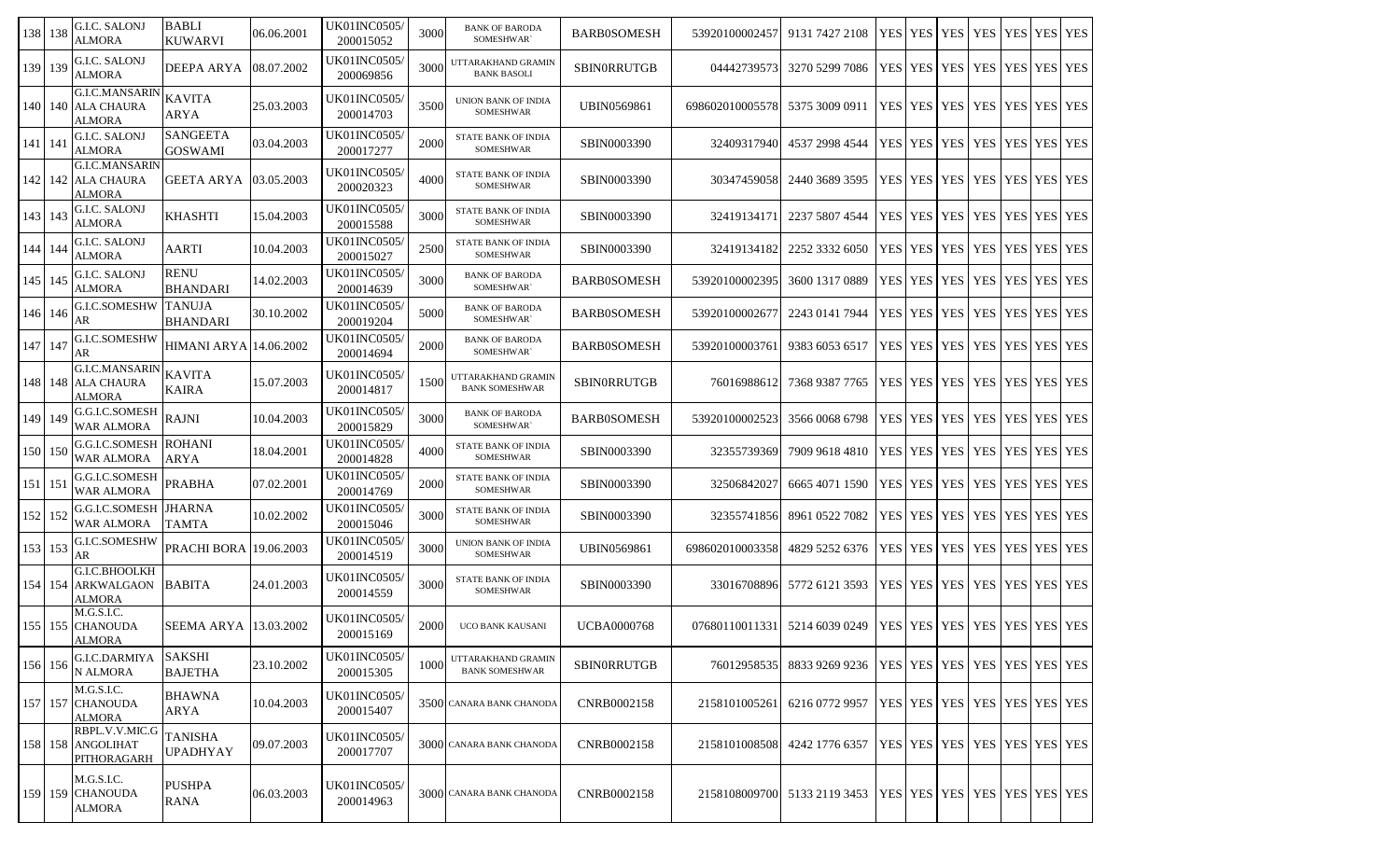| 138   138   | G.I.C. SALONJ<br><b>ALMORA</b>                                   | <b>BABLI</b><br><b>KUWARVI</b>    | 06.06.2001 | <b>UK01INC0505</b> /<br>200015052 | 3000 | <b>BANK OF BARODA</b><br>SOMESHWAR`            | <b>BARB0SOMESH</b> | 53920100002457  | 9131 7427 2108 | YES YES           | YES I      | <b>YES</b>                              | YES.             | YES YES        |  |
|-------------|------------------------------------------------------------------|-----------------------------------|------------|-----------------------------------|------|------------------------------------------------|--------------------|-----------------|----------------|-------------------|------------|-----------------------------------------|------------------|----------------|--|
| 139 139     | G.I.C. SALONJ<br><b>ALMORA</b>                                   | DEEPA ARYA                        | 08.07.2002 | <b>UK01INC0505</b> /<br>200069856 | 3000 | UTTARAKHAND GRAMIN<br><b>BANK BASOLI</b>       | <b>SBINORRUTGB</b> | 04442739573     | 3270 5299 7086 | YES YES YES YES I |            |                                         | YES <sup>1</sup> | YES YES        |  |
|             | <b>G.I.C.MANSARIN</b><br>140   140   ALA CHAURA<br>ALMORA        | <b>KAVITA</b><br>ARYA             | 25.03.2003 | UK01INC0505/<br>200014703         | 3500 | UNION BANK OF INDIA<br>SOMESHWAR               | <b>UBIN0569861</b> | 698602010005578 | 5375 3009 0911 | YES YES YES       |            | <b>YES</b>                              | YES YES YES      |                |  |
| $141$   141 | <b>G.I.C. SALONJ</b><br><b>ALMORA</b>                            | <b>SANGEETA</b><br><b>GOSWAMI</b> | 03.04.2003 | <b>UK01INC0505</b> /<br>200017277 | 2000 | STATE BANK OF INDIA<br><b>SOMESHWAR</b>        | SBIN0003390        | 32409317940     | 4537 2998 4544 | YES YES YES YES   |            |                                         | YES              | YES YES        |  |
|             | <b>G.I.C.MANSARIN</b><br>142   142   ALA CHAURA<br>ALMORA        | GEETA ARYA                        | 03.05.2003 | <b>UK01INC0505/</b><br>200020323  | 4000 | STATE BANK OF INDIA<br><b>SOMESHWAR</b>        | SBIN0003390        | 30347459058     | 2440 3689 3595 | YES   YES   YES   |            | YES                                     | YES YES YES      |                |  |
| 143   143   | <b>G.I.C. SALONJ</b><br><b>ALMORA</b>                            | KHASHTI                           | 15.04.2003 | UK01INC0505/<br>200015588         | 3000 | <b>STATE BANK OF INDIA</b><br><b>SOMESHWAR</b> | SBIN0003390        | 32419134171     | 2237 5807 4544 | YES YES           | <b>YES</b> | YES                                     | <b>YES</b>       | YES YES        |  |
| 144 144     | G.I.C. SALONJ<br><b>ALMORA</b>                                   | AARTI                             | 10.04.2003 | <b>UK01INC0505/</b><br>200015027  | 2500 | STATE BANK OF INDIA<br><b>SOMESHWAR</b>        | SBIN0003390        | 32419134182     | 2252 3332 6050 | YES YES YES       |            | YES                                     | YES YES YES      |                |  |
| 145 145     | <b>G.I.C. SALONJ</b><br><b>ALMORA</b>                            | <b>RENU</b><br><b>BHANDARI</b>    | 14.02.2003 | <b>UK01INC0505/</b><br>200014639  | 3000 | <b>BANK OF BARODA</b><br>SOMESHWAR`            | <b>BARB0SOMESH</b> | 53920100002395  | 3600 1317 0889 | YES YES YES       |            | <b>YES</b>                              | YES YES YES      |                |  |
| 146 146     | G.I.C.SOMESHW<br>AR                                              | <b>TANUJA</b><br><b>BHANDARI</b>  | 30.10.2002 | <b>UK01INC0505/</b><br>200019204  | 5000 | <b>BANK OF BARODA</b><br>SOMESHWAR`            | <b>BARB0SOMESH</b> | 5392010000267   | 2243 0141 7944 | YES   YES   YES   |            | YES                                     | YES <sup>1</sup> | <b>YES</b> YES |  |
| 147 147     | G.I.C.SOMESHW<br>AR                                              | HIMANI ARYA 14.06.2002            |            | <b>UK01INC0505/</b><br>200014694  | 2000 | <b>BANK OF BARODA</b><br>SOMESHWAR`            | <b>BARB0SOMESH</b> | 53920100003761  | 9383 6053 6517 | YES YES           | <b>YES</b> | <b>YES</b>                              | <b>YES</b>       | YES YES        |  |
|             | <b>G.I.C.MANSARIN</b><br>148   148   ALA CHAURA<br><b>ALMORA</b> | KAVITA<br><b>KAIRA</b>            | 15.07.2003 | UK01INC0505/<br>200014817         | 1500 | UTTARAKHAND GRAMIN<br><b>BANK SOMESHWAR</b>    | SBINORRUTGB        | 76016988612     | 7368 9387 7765 | YES YES YES       |            | YES                                     | <b>YES</b>       | YES YES        |  |
| 149 149     | G.G.I.C.SOMESH<br>WAR ALMORA                                     | <b>RAJNI</b>                      | 10.04.2003 | UK01INC0505/<br>200015829         | 3000 | <b>BANK OF BARODA</b><br>SOMESHWAR`            | <b>BARB0SOMESH</b> | 53920100002523  | 3566 0068 6798 | YES YES           | <b>YES</b> | YES                                     | YES <sup>1</sup> | <b>YES</b> YES |  |
| 150 150     | G.G.I.C.SOMESH ROHANI<br><b>WAR ALMORA</b>                       | ARYA                              | 18.04.2001 | <b>UK01INC0505/</b><br>200014828  | 4000 | STATE BANK OF INDIA<br><b>SOMESHWAR</b>        | SBIN0003390        | 32355739369     | 7909 9618 4810 | YES YES YES       |            | YES                                     | YES              | YES YES        |  |
| $151$   151 | G.G.I.C.SOMESH<br>WAR ALMORA                                     | <b>PRABHA</b>                     | 07.02.2001 | <b>UK01INC0505</b> /<br>200014769 | 2000 | <b>STATE BANK OF INDIA</b><br><b>SOMESHWAR</b> | SBIN0003390        | 3250684202      | 6665 4071 1590 | YES YES           | <b>YES</b> | YES                                     | YES              | YES YES        |  |
| 152 152     | <b>G.G.I.C.SOMESH JHARNA</b><br><b>WAR ALMORA</b>                | TAMTA                             | 10.02.2002 | UK01INC0505/<br>200015046         | 3000 | STATE BANK OF INDIA<br><b>SOMESHWAR</b>        | SBIN0003390        | 32355741856     | 8961 0522 7082 | <b>YES YES</b>    | <b>YES</b> | <b>YES</b>                              | <b>YES</b>       | YES YES        |  |
| 153 153     | G.I.C.SOMESHW<br>AR                                              | <b>PRACHI BORA</b>                | 19.06.2003 | UK01INC0505/<br>200014519         | 3000 | UNION BANK OF INDIA<br><b>SOMESHWAR</b>        | <b>UBIN0569861</b> | 698602010003358 | 4829 5252 6376 | <b>YES YES</b>    | YES        | <b>YES</b>                              | YES              | YES YES        |  |
|             | G.I.C.BHOOLKH<br>154 154 ARKWALGAON<br>ALMORA                    | <b>BABITA</b>                     | 24.01.2003 | UK01INC0505/<br>200014559         | 3000 | STATE BANK OF INDIA<br>SOMESHWAR               | SBIN0003390        | 33016708896     | 5772 6121 3593 | YES YES YES YES   |            |                                         | YES YES YES      |                |  |
|             | M.G.S.I.C.<br>155   155   CHANOUDA<br>ALMORA                     | <b>SEEMA ARYA</b>                 | 13.03.2002 | UK01INC0505/<br>200015169         | 2000 | UCO BANK KAUSANI                               | <b>UCBA0000768</b> | 07680110011331  | 5214 6039 0249 |                   |            | YES YES YES YES                         | YES YES YES      |                |  |
| 156 156     | G.I.C.DARMIYA<br>N ALMORA                                        | <b>SAKSHI</b><br><b>BAJETHA</b>   | 23.10.2002 | UK01INC0505/<br>200015305         | 1000 | UTTARAKHAND GRAMIN<br><b>BANK SOMESHWAR</b>    | SBINORRUTGB        | 76012958535     | 8833 9269 9236 | YES YES YES       |            | YES   YES   YES   YES                   |                  |                |  |
|             | M.G.S.I.C.<br>157 157 CHANOUDA<br><b>ALMORA</b>                  | <b>BHAWNA</b><br><b>ARYA</b>      | 10.04.2003 | <b>UK01INC0505/</b><br>200015407  |      | 3500 CANARA BANK CHANODA                       | CNRB0002158        | 2158101005261   | 6216 0772 9957 |                   |            | YES YES YES YES                         | <b>YES</b>       | YES YES        |  |
|             | RBPL.V.V.MIC.G<br>158 158 ANGOLIHAT<br><b>PITHORAGARH</b>        | <b>TANISHA</b><br><b>UPADHYAY</b> | 09.07.2003 | UK01INC0505/<br>200017707         |      | 3000 CANARA BANK CHANODA                       | CNRB0002158        | 2158101008508   | 4242 1776 6357 |                   |            | YES   YES   YES   YES   YES   YES   YES |                  |                |  |
|             | M.G.S.I.C.<br>159 159 CHANOUDA<br><b>ALMORA</b>                  | <b>PUSHPA</b><br><b>RANA</b>      | 06.03.2003 | <b>UK01INC0505/</b><br>200014963  |      | 3000 CANARA BANK CHANODA                       | CNRB0002158        | 2158108009700   | 5133 2119 3453 |                   |            | YES   YES   YES   YES   YES   YES   YES |                  |                |  |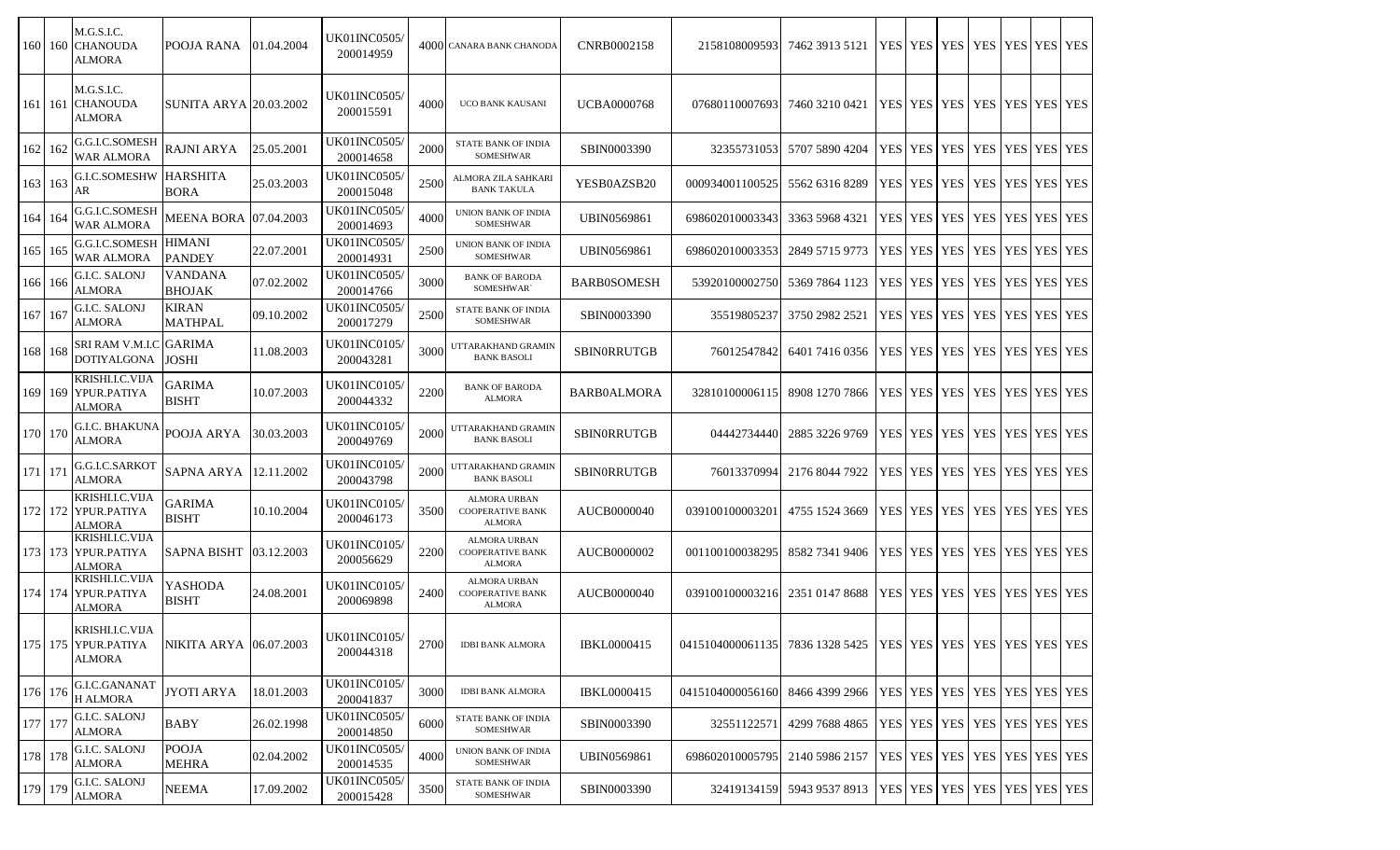|           | 160 160 | M.G.S.I.C.<br><b>CHANOUDA</b><br>ALMORA          | POOJA RANA                      | 01.04.2004 | UK01INC0505/<br>200014959         |      | 4000 CANARA BANK CHANODA                                        | CNRB0002158        | 2158108009593                                                   | 7462 3913 5121                                             |                 | YES YES YES YES YES YES YES YES         |             |  |
|-----------|---------|--------------------------------------------------|---------------------------------|------------|-----------------------------------|------|-----------------------------------------------------------------|--------------------|-----------------------------------------------------------------|------------------------------------------------------------|-----------------|-----------------------------------------|-------------|--|
| 161 161   |         | M.G.S.I.C.<br><b>CHANOUDA</b><br><b>ALMORA</b>   | <b>SUNITA ARYA 20.03.2002</b>   |            | UK01INC0505/<br>200015591         | 4000 | UCO BANK KAUSANI                                                | <b>UCBA0000768</b> | 07680110007693                                                  | 7460 3210 0421                                             |                 | YES YES YES YES YES YES YES YES         |             |  |
| 162 162   |         | G.G.I.C.SOMESH<br><b>WAR ALMORA</b>              | <b>RAJNI ARYA</b>               | 25.05.2001 | <b>UK01INC0505</b> /<br>200014658 | 2000 | STATE BANK OF INDIA<br>SOMESHWAR                                | SBIN0003390        | 32355731053                                                     | 5707 5890 4204                                             | YES YES YES     | <b>YES</b>                              | YES YES YES |  |
| 163 163   |         | <b>G.I.C.SOMESHW HARSHITA</b><br>AR              | <b>BORA</b>                     | 25.03.2003 | UK01INC0505/<br>200015048         | 2500 | ALMORA ZILA SAHKARI<br><b>BANK TAKULA</b>                       | YESB0AZSB20        | 000934001100525                                                 | 5562 6316 8289                                             | YES YES YES     | <b>YES</b>                              | YES YES YES |  |
| 164 164   |         | G.G.I.C.SOMESH<br>WAR ALMORA                     | MEENA BORA 07.04.2003           |            | UK01INC0505/<br>200014693         | 4000 | UNION BANK OF INDIA<br><b>SOMESHWAR</b>                         | <b>UBIN0569861</b> | 698602010003343                                                 | 3363 5968 4321                                             | YES YES YES     | <b>YES</b>                              | YES YES YES |  |
| 165 165   |         | G.G.I.C.SOMESH<br>WAR ALMORA                     | <b>HIMANI</b><br><b>PANDEY</b>  | 22.07.2001 | UK01INC0505/<br>200014931         | 2500 | UNION BANK OF INDIA<br><b>SOMESHWAR</b>                         | UBIN0569861        | 698602010003353                                                 | 2849 5715 9773                                             | YES YES YES     | <b>YES</b>                              | YES YES YES |  |
| 166 166   |         | G.I.C. SALONJ<br><b>ALMORA</b>                   | <b>VANDANA</b><br><b>BHOJAK</b> | 07.02.2002 | <b>UK01INC0505/</b><br>200014766  | 3000 | <b>BANK OF BARODA</b><br>SOMESHWAR`                             | <b>BARB0SOMESH</b> | 53920100002750                                                  | 5369 7864 1123                                             | YES YES YES     | <b>YES</b>                              | YES YES YES |  |
| 167 167   |         | <b>G.I.C. SALONJ</b><br><b>ALMORA</b>            | <b>KIRAN</b><br><b>MATHPAL</b>  | 09.10.2002 | <b>UK01INC0505/</b><br>200017279  | 2500 | STATE BANK OF INDIA<br><b>SOMESHWAR</b>                         | SBIN0003390        | 35519805237                                                     | 3750 2982 2521                                             | YES YES YES     | <b>YES</b>                              | YES YES YES |  |
| 168 168   |         | SRI RAM V.M.I.C GARIMA<br><b>DOTIYALGONA</b>     | JOSHI                           | 11.08.2003 | UK01INC0105/<br>200043281         | 3000 | UTTARAKHAND GRAMIN<br><b>BANK BASOLI</b>                        | <b>SBINORRUTGB</b> | 76012547842                                                     | 6401 7416 0356                                             |                 | YES   YES   YES   YES   YES   YES   YES |             |  |
| 169 169   |         | KRISHLLC.VIJA<br>YPUR.PATIYA<br>ALMORA           | <b>GARIMA</b><br><b>BISHT</b>   | 10.07.2003 | UK01INC0105/<br>200044332         | 2200 | <b>BANK OF BARODA</b><br><b>ALMORA</b>                          | <b>BARB0ALMORA</b> | 32810100006115                                                  | 8908 1270 7866                                             | YES   YES   YES | <b>YES</b>                              | YES YES YES |  |
| 170 170   |         | G.I.C. BHAKUNA<br>ALMORA                         | POOJA ARYA                      | 30.03.2003 | UK01INC0105/<br>200049769         | 2000 | UTTARAKHAND GRAMIN<br><b>BANK BASOLI</b>                        | <b>SBINORRUTGB</b> | 04442734440                                                     | 2885 3226 9769                                             |                 | YES   YES   YES   YES   YES   YES   YES |             |  |
| 171   171 |         | G.G.I.C.SARKOT<br><b>ALMORA</b>                  | SAPNA ARYA                      | 12.11.2002 | UK01INC0105/<br>200043798         | 2000 | UTTARAKHAND GRAMIN<br><b>BANK BASOLI</b>                        | <b>SBINORRUTGB</b> | 76013370994                                                     | 2176 8044 7922                                             | YES YES YES     | <b>YES</b>                              | YES YES YES |  |
| 172 172   |         | KRISHI.I.C.VIJA<br>YPUR.PATIYA<br>ALMORA         | <b>GARIMA</b><br><b>BISHT</b>   | 10.10.2004 | UK01INC0105/<br>200046173         | 3500 | ALMORA URBAN<br><b>COOPERATIVE BANK</b><br><b>ALMORA</b>        | AUCB0000040        | 039100100003201                                                 | 4755 1524 3669                                             |                 | YES   YES   YES   YES                   | YES YES YES |  |
|           |         | KRISHLLC.VIJA<br>173 173 YPUR.PATIYA<br>ALMORA   | <b>SAPNA BISHT</b>              | 03.12.2003 | UK01INC0105/<br>200056629         | 2200 | ALMORA URBAN<br><b>COOPERATIVE BANK</b><br><b>ALMORA</b>        | AUCB0000002        | 001100100038295                                                 | 8582 7341 9406                                             |                 | YES   YES   YES   YES   YES   YES   YES |             |  |
| 174   174 |         | KRISHI.I.C.VIJA<br>YPUR.PATIYA<br>ALMORA         | YASHODA<br><b>BISHT</b>         | 24.08.2001 | UK01INC0105/<br>200069898         | 2400 | <b>ALMORA URBAN</b><br><b>COOPERATIVE BANK</b><br><b>ALMORA</b> | AUCB0000040        | 039100100003216                                                 | 2351 0147 8688                                             | YES YES YES     | <b>YES</b>                              | YES YES YES |  |
|           |         | KRISHI.I.C.VIJA<br>175 175 YPUR.PATIYA<br>ALMORA | NIKITA ARYA 06.07.2003          |            | UK01INC0105/<br>200044318         | 2700 | <b>IDBI BANK ALMORA</b>                                         | <b>IBKL0000415</b> | 0415104000061135 7836 1328 5425 YES YES YES YES YES YES YES YES |                                                            |                 |                                         |             |  |
| 176 176   |         | G.I.C.GANANAT<br><b>H ALMORA</b>                 | <b>JYOTI ARYA</b>               | 18.01.2003 | UK01INC0105/<br>200041837         | 3000 | <b>IDBI BANK ALMORA</b>                                         | <b>IBKL0000415</b> | 0415104000056160                                                | 8466 4399 2966                                             |                 | YES   YES   YES   YES   YES   YES   YES |             |  |
| 177 177   |         | <b>G.I.C. SALONJ</b><br><b>ALMORA</b>            | <b>BABY</b>                     | 26.02.1998 | UK01INC0505/<br>200014850         | 6000 | STATE BANK OF INDIA<br><b>SOMESHWAR</b>                         | SBIN0003390        | 32551122571                                                     | 4299 7688 4865                                             |                 | YES   YES   YES   YES   YES   YES   YES |             |  |
| 178 178   |         | <b>G.I.C. SALONJ</b><br><b>ALMORA</b>            | <b>POOJA</b><br><b>MEHRA</b>    | 02.04.2002 | UK01INC0505/<br>200014535         | 4000 | UNION BANK OF INDIA<br><b>SOMESHWAR</b>                         | <b>UBIN0569861</b> | 698602010005795                                                 | 2140 5986 2157                                             |                 | YES YES YES YES YES YES YES YES         |             |  |
| 179 179   |         | <b>G.I.C. SALONJ</b><br><b>ALMORA</b>            | <b>NEEMA</b>                    | 17.09.2002 | UK01INC0505/<br>200015428         | 3500 | STATE BANK OF INDIA<br><b>SOMESHWAR</b>                         | SBIN0003390        |                                                                 | 32419134159 5943 9537 8913 YES YES YES YES YES YES YES YES |                 |                                         |             |  |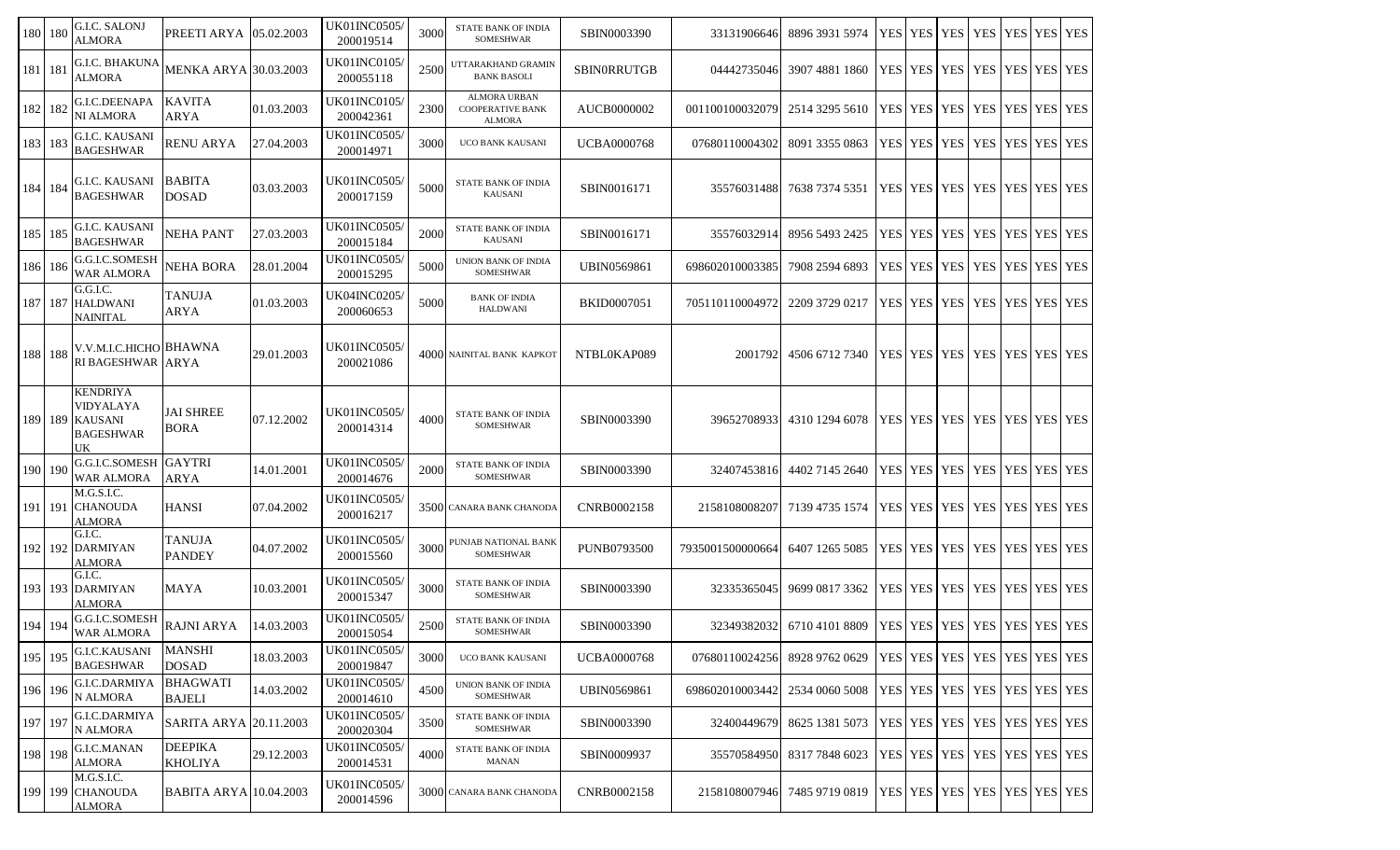| 180     | 180            | G.I.C. SALONJ<br><b>ALMORA</b>                             | PREETI ARYA                      | 05.02.2003 | UK01INC0505/<br>200019514         | 3000 | <b>STATE BANK OF INDIA</b><br>SOMESHWAR                         | SBIN0003390        | 33131906646      | 8896 3931 5974                                                 | YES YES               | <b>YES</b> | <b>YES</b>                              | YES YES YES |  |
|---------|----------------|------------------------------------------------------------|----------------------------------|------------|-----------------------------------|------|-----------------------------------------------------------------|--------------------|------------------|----------------------------------------------------------------|-----------------------|------------|-----------------------------------------|-------------|--|
| 181 181 |                | <b>G.I.C. BHAKUNA</b><br><b>ALMORA</b>                     | <b>MENKA ARYA 30.03.2003</b>     |            | <b>UK01INC0105/</b><br>200055118  | 2500 | UTTARAKHAND GRAMIN<br><b>BANK BASOLI</b>                        | SBIN0RRUTGB        | 04442735046      | 3907 4881 1860                                                 | YES YES               | <b>YES</b> | <b>YES</b>                              | YES YES YES |  |
| 182 182 |                | G.I.C.DEENAPA<br>NI ALMORA                                 | <b>KAVITA</b><br>ARYA            | 01.03.2003 | UK01INC0105/<br>200042361         | 2300 | <b>ALMORA URBAN</b><br><b>COOPERATIVE BANK</b><br><b>ALMORA</b> | AUCB0000002        | 001100100032079  | 2514 3295 5610                                                 | YES   YES   YES   YES |            |                                         | YES YES YES |  |
| 183 183 |                | <b>G.I.C. KAUSANI</b><br><b>BAGESHWAR</b>                  | <b>RENU ARYA</b>                 | 27.04.2003 | <b>UK01INC0505</b> /<br>200014971 | 3000 | UCO BANK KAUSANI                                                | <b>UCBA0000768</b> | 07680110004302   | 8091 3355 0863                                                 | YES YES YES           |            | <b>YES</b>                              | YES YES YES |  |
| 184 184 |                | <b>G.I.C. KAUSANI</b><br><b>BAGESHWAR</b>                  | <b>BABITA</b><br><b>DOSAD</b>    | 03.03.2003 | <b>UK01INC0505/</b><br>200017159  | 5000 | <b>STATE BANK OF INDIA</b><br><b>KAUSANI</b>                    | SBIN0016171        | 35576031488      | 7638 7374 5351                                                 |                       |            | YES   YES   YES   YES   YES   YES   YES |             |  |
| 185     | 185            | <b>G.I.C. KAUSANI</b><br><b>BAGESHWAR</b>                  | <b>NEHA PANT</b>                 | 27.03.2003 | <b>UK01INC0505</b> /<br>200015184 | 2000 | <b>STATE BANK OF INDIA</b><br><b>KAUSANI</b>                    | SBIN0016171        | 3557603291       | 8956 5493 2425                                                 | YES   YES   YES   YES |            |                                         | YES YES YES |  |
| 186 186 |                | G.G.I.C.SOMESH<br>WAR ALMORA                               | NEHA BORA                        | 28.01.2004 | <b>UK01INC0505/</b><br>200015295  | 5000 | <b>UNION BANK OF INDIA</b><br>SOMESHWAR                         | <b>UBIN0569861</b> | 698602010003385  | 7908 2594 6893                                                 | YES   YES   YES       |            | <b>YES</b>                              | YES YES YES |  |
| 187 187 |                | G.G.I.C.<br><b>HALDWANI</b><br>NAINITAL                    | <b>TANUJA</b><br>ARYA            | 01.03.2003 | UK04INC0205/<br>200060653         | 5000 | <b>BANK OF INDIA</b><br><b>HALDWANI</b>                         | <b>BKID0007051</b> | 705110110004972  | 2209 3729 0217                                                 | YES YES               | <b>YES</b> | <b>YES</b>                              | YES YES YES |  |
| 188 188 |                | V.V.M.I.C.HICHO BHAWNA<br>RI BAGESHWAR ARYA                |                                  | 29.01.2003 | <b>UK01INC0505/</b><br>200021086  |      | 4000 NAINITAL BANK KAPKOT                                       | NTBL0KAP089        | 2001792          | 4506 6712 7340                                                 |                       |            | YES   YES   YES   YES   YES   YES   YES |             |  |
| 189 189 |                | KENDRIYA<br>VIDYALAYA<br><b>KAUSANI</b><br>BAGESHWAR<br>UK | <b>JAI SHREE</b><br><b>BORA</b>  | 07.12.2002 | UK01INC0505/<br>200014314         | 4000 | STATE BANK OF INDIA<br><b>SOMESHWAR</b>                         | SBIN0003390        | 39652708933      | 4310 1294 6078                                                 |                       |            | YES YES YES YES YES YES YES YES         |             |  |
| 190     | <sup>190</sup> | <b>G.G.I.C.SOMESH GAYTRI</b><br>WAR ALMORA                 | <b>ARYA</b>                      | 14.01.2001 | UK01INC0505/<br>200014676         | 2000 | STATE BANK OF INDIA<br>SOMESHWAR                                | SBIN0003390        | 32407453816      | 4402 7145 2640                                                 | YES   YES   YES   YES |            |                                         | YES YES YES |  |
| 191     | <sup>191</sup> | M.G.S.I.C.<br><b>CHANOUDA</b><br>ALMORA                    | <b>HANSI</b>                     | 07.04.2002 | UK01INC0505/<br>200016217         |      | 3500 CANARA BANK CHANODA                                        | CNRB0002158        | 2158108008207    | 7139 4735 1574                                                 | YES YES               | <b>YES</b> | <b>YES</b>                              | YES YES YES |  |
| 192 192 |                | G.I.C.<br><b>DARMIYAN</b><br>ALMORA                        | <b>TANUJA</b><br><b>PANDEY</b>   | 04.07.2002 | <b>UK01INC0505/</b><br>200015560  | 3000 | PUNJAB NATIONAL BANK<br>SOMESHWAR                               | <b>PUNB0793500</b> | 7935001500000664 | 6407 1265 5085                                                 |                       |            | YES   YES   YES   YES                   | YES YES YES |  |
| 193     |                | G.I.C.<br>193 DARMIYAN<br>ALMORA                           | MAYA                             | 10.03.2001 | UK01INC0505/<br>200015347         | 3000 | <b>STATE BANK OF INDIA</b><br>SOMESHWAR                         | SBIN0003390        | 32335365045      | 9699 0817 3362                                                 | YES   YES   YES       |            | <b>YES YES YES YES</b>                  |             |  |
| 194     | 194            | G.G.I.C.SOMESH<br>WAR ALMORA                               | <b>RAJNI ARYA</b>                | 14.03.2003 | UK01INC0505/<br>200015054         | 2500 | STATE BANK OF INDIA<br>SOMESHWAR                                | SBIN0003390        | 32349382032      | 6710 4101 8809   YES   YES   YES   YES   YES   YES   YES   YES |                       |            |                                         |             |  |
| 195     | 195            | G.I.C.KAUSANI<br><b>BAGESHWAR</b>                          | <b>MANSHI</b><br><b>DOSAD</b>    | 18.03.2003 | UK01INC0505/<br>200019847         | 3000 | UCO BANK KAUSANI                                                | <b>UCBA0000768</b> | 07680110024256   | 8928 9762 0629                                                 |                       |            | YES YES YES YES YES YES YES YES         |             |  |
| 196     | -196           | G.I.C.DARMIYA<br>N ALMORA                                  | <b>BHAGWATI</b><br><b>BAJELI</b> | 14.03.2002 | UK01INC0505/<br>200014610         | 4500 | UNION BANK OF INDIA<br>SOMESHWAR                                | <b>UBIN0569861</b> | 698602010003442  | 2534 0060 5008                                                 |                       |            | YES   YES   YES   YES   YES   YES   YES |             |  |
| 197     | 197            | G.I.C.DARMIYA<br>N ALMORA                                  | SARITA ARYA 20.11.2003           |            | UK01INC0505/<br>200020304         | 3500 | <b>STATE BANK OF INDIA</b><br><b>SOMESHWAR</b>                  | SBIN0003390        | 32400449679      | 8625 1381 5073                                                 |                       |            | YES YES YES YES YES YES YES             |             |  |
| 198 198 |                | <b>G.I.C.MANAN</b><br><b>ALMORA</b>                        | <b>DEEPIKA</b><br><b>KHOLIYA</b> | 29.12.2003 | UK01INC0505/<br>200014531         | 4000 | STATE BANK OF INDIA<br><b>MANAN</b>                             | SBIN0009937        | 35570584950      | 8317 7848 6023                                                 |                       |            | YES YES YES YES YES YES YES             |             |  |
|         |                | M.G.S.I.C.<br>199 199 CHANOUDA<br><b>ALMORA</b>            | <b>BABITA ARYA 10.04.2003</b>    |            | UK01INC0505/<br>200014596         |      | 3000 CANARA BANK CHANODA                                        | CNRB0002158        | 2158108007946    | 7485 9719 0819                                                 |                       |            | YES   YES   YES   YES   YES   YES   YES |             |  |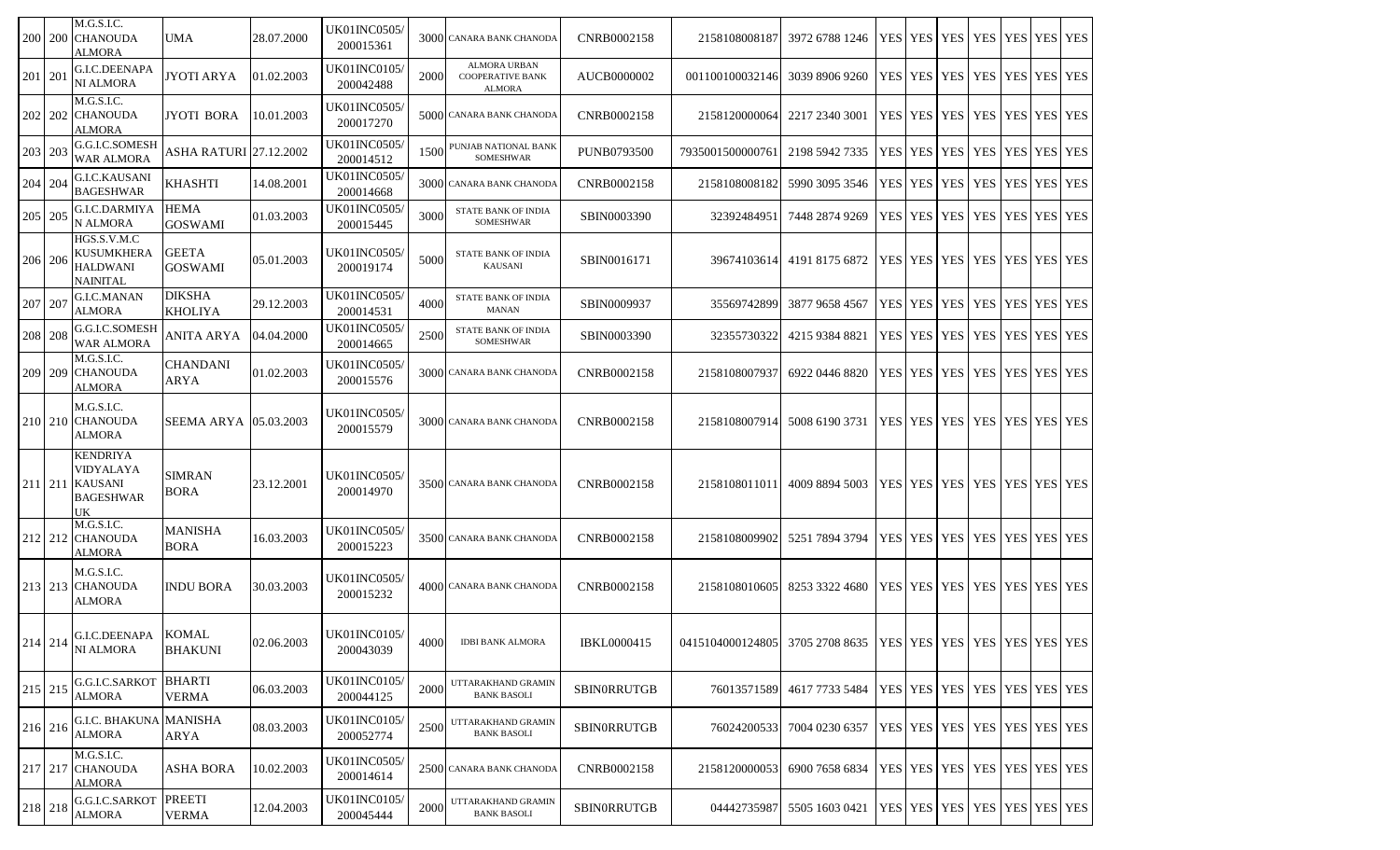| 200 200 | M.G.S.I.C.<br><b>CHANOUDA</b><br>ALMORA                                                      | <b>UMA</b>                      | 28.07.2000 | UK01INC0505/<br>200015361         |      | 3000 CANARA BANK CHANODA                                 | CNRB0002158        | 2158108008187    | 3972 6788 1246                                                 |  |                       | YES YES YES YES                         | YES YES YES |  |
|---------|----------------------------------------------------------------------------------------------|---------------------------------|------------|-----------------------------------|------|----------------------------------------------------------|--------------------|------------------|----------------------------------------------------------------|--|-----------------------|-----------------------------------------|-------------|--|
| 201 201 | <b>G.I.C.DEENAPA</b><br>NI ALMORA                                                            | JYOTI ARYA                      | 01.02.2003 | UK01INC0105/<br>200042488         | 2000 | ALMORA URBAN<br><b>COOPERATIVE BANK</b><br><b>ALMORA</b> | AUCB0000002        | 001100100032146  | 3039 8906 9260                                                 |  |                       | YES   YES   YES   YES                   | YES YES YES |  |
|         | M.G.S.I.C.<br>202   202   CHANOUDA<br><b>ALMORA</b>                                          | JYOTI BORA                      | 10.01.2003 | <b>UK01INC0505</b> /<br>200017270 |      | 5000 CANARA BANK CHANODA                                 | CNRB0002158        | 2158120000064    | 2217 2340 3001                                                 |  |                       | YES   YES   YES   YES   YES   YES   YES |             |  |
| 203 203 | G.G.I.C.SOMESH<br><b>WAR ALMORA</b>                                                          | <b>ASHA RATURI 27.12.2002</b>   |            | <b>UK01INC0505</b> /<br>200014512 | 1500 | PUNJAB NATIONAL BANK<br><b>SOMESHWAR</b>                 | <b>PUNB0793500</b> | 7935001500000761 | 2198 5942 7335                                                 |  | YES   YES   YES   YES |                                         | YES YES YES |  |
| 204 204 | <b>G.I.C.KAUSANI</b><br><b>BAGESHWAR</b>                                                     | <b>KHASHTI</b>                  | 14.08.2001 | UK01INC0505/<br>200014668         |      | 3000 CANARA BANK CHANODA                                 | CNRB0002158        | 2158108008182    | 5990 3095 3546                                                 |  | YES YES YES YES       |                                         | YES YES YES |  |
| 205 205 | G.I.C.DARMIYA<br>N ALMORA                                                                    | <b>HEMA</b><br><b>GOSWAMI</b>   | 01.03.2003 | UK01INC0505/<br>200015445         | 3000 | <b>STATE BANK OF INDIA</b><br><b>SOMESHWAR</b>           | SBIN0003390        | 32392484951      | 7448 2874 9269                                                 |  | YES   YES   YES   YES |                                         | YES YES YES |  |
| 206 206 | HGS.S.V.M.C<br><b>KUSUMKHERA</b><br><b>HALDWANI</b><br>NAINITAL                              | <b>GEETA</b><br><b>GOSWAMI</b>  | 05.01.2003 | <b>UK01INC0505</b> /<br>200019174 | 5000 | STATE BANK OF INDIA<br><b>KAUSANI</b>                    | SBIN0016171        | 39674103614      | 4191 8175 6872                                                 |  |                       | YES   YES   YES   YES   YES   YES   YES |             |  |
| 207 207 | G.I.C.MANAN<br><b>ALMORA</b>                                                                 | <b>DIKSHA</b><br><b>KHOLIYA</b> | 29.12.2003 | <b>UK01INC0505</b><br>200014531   | 4000 | STATE BANK OF INDIA<br><b>MANAN</b>                      | SBIN0009937        | 35569742899      | 3877 9658 4567                                                 |  | YES YES YES YES       |                                         | YES YES YES |  |
| 208 208 | G.G.I.C.SOMESH<br><b>WAR ALMORA</b>                                                          | ANITA ARYA                      | 04.04.2000 | <b>UK01INC0505</b> /<br>200014665 | 2500 | STATE BANK OF INDIA<br>SOMESHWAR                         | SBIN0003390        | 32355730322      | 4215 9384 8821                                                 |  | YES   YES   YES   YES |                                         | YES YES YES |  |
| 209 209 | M.G.S.I.C.<br><b>CHANOUDA</b><br>ALMORA                                                      | <b>CHANDANI</b><br>ARYA         | 01.02.2003 | <b>UK01INC0505/</b><br>200015576  |      | 3000 CANARA BANK CHANODA                                 | CNRB0002158        | 2158108007937    | 6922 0446 8820                                                 |  |                       | YES   YES   YES   YES   YES   YES   YES |             |  |
| 210 210 | M.G.S.I.C.<br><b>CHANOUDA</b><br>ALMORA                                                      | <b>SEEMA ARYA 105.03.2003</b>   |            | <b>UK01INC0505</b> /<br>200015579 |      | 3000 CANARA BANK CHANODA                                 | CNRB0002158        | 2158108007914    | 5008 6190 3731                                                 |  |                       | YES   YES   YES   YES   YES   YES   YES |             |  |
|         | <b>KENDRIYA</b><br><b>VIDYALAYA</b><br>211 211 KAUSANI<br><b>BAGESHWAR</b><br>UK             | <b>SIMRAN</b><br><b>BORA</b>    | 23.12.2001 | <b>UK01INC0505</b> /<br>200014970 |      | 3500 CANARA BANK CHANODA                                 | CNRB0002158        | 2158108011011    | 4009 8894 5003                                                 |  |                       | YES   YES   YES   YES   YES   YES   YES |             |  |
|         | M.G.S.I.C.<br>212 212 CHANOUDA<br><b>ALMORA</b>                                              | <b>MANISHA</b><br><b>BORA</b>   | 16.03.2003 | <b>UK01INC0505/</b><br>200015223  |      | 3500 CANARA BANK CHANODA                                 | CNRB0002158        | 2158108009902    | 5251 7894 3794                                                 |  |                       | YES   YES   YES   YES   YES   YES   YES |             |  |
|         | M.G.S.I.C.<br>213 213 CHANOUDA<br><b>ALMORA</b>                                              | <b>INDU BORA</b>                | 30.03.2003 | UK01INC0505/<br>200015232         |      | 4000 CANARA BANK CHANODA                                 | CNRB0002158        | 2158108010605    | 8253 3322 4680                                                 |  | YES YES YES YES       |                                         | YES YES YES |  |
|         | G.I.C.DEENAPA KOMAL<br>$214 \overline{\smash{\big)}\ 214 \over \overline{\text{NI ALMORA}}}$ | <b>BHAKUNI</b>                  | 02.06.2003 | UK01INC0105/<br>200043039         | 4000 | <b>IDBI BANK ALMORA</b>                                  | <b>IBKL0000415</b> | 0415104000124805 | 3705 2708 8635   YES   YES   YES   YES   YES   YES   YES   YES |  |                       |                                         |             |  |
| 215 215 | G.G.I.C.SARKOT<br><b>ALMORA</b>                                                              | <b>BHARTI</b><br><b>VERMA</b>   | 06.03.2003 | UK01INC0105/<br>200044125         | 2000 | UTTARAKHAND GRAMIN<br><b>BANK BASOLI</b>                 | SBINORRUTGB        | 76013571589      | 4617 7733 5484                                                 |  |                       | YES YES YES YES YES YES YES YES         |             |  |
| 216 216 | <b>G.I.C. BHAKUNA MANISHA</b><br><b>ALMORA</b>                                               | <b>ARYA</b>                     | 08.03.2003 | <b>UK01INC0105/</b><br>200052774  | 2500 | UTTARAKHAND GRAMIN<br><b>BANK BASOLI</b>                 | <b>SBINORRUTGB</b> | 760242005331     | 7004 0230 6357                                                 |  |                       | YES   YES   YES   YES   YES   YES   YES |             |  |
|         | M.G.S.I.C.<br>$217$ 217 CHANOUDA<br><b>ALMORA</b>                                            | ASHA BORA                       | 10.02.2003 | <b>UK01INC0505/</b><br>200014614  |      | 2500 CANARA BANK CHANODA                                 | CNRB0002158        | 2158120000053    | 6900 7658 6834                                                 |  |                       | YES YES YES YES YES YES YES YES         |             |  |
| 218 218 | G.G.I.C.SARKOT<br><b>ALMORA</b>                                                              | <b>PREETI</b><br>VERMA          | 12.04.2003 | UK01INC0105/<br>200045444         | 2000 | UTTARAKHAND GRAMIN<br><b>BANK BASOLI</b>                 | <b>SBINORRUTGB</b> | 04442735987      | 5505 1603 0421                                                 |  |                       | YES   YES   YES   YES   YES   YES   YES |             |  |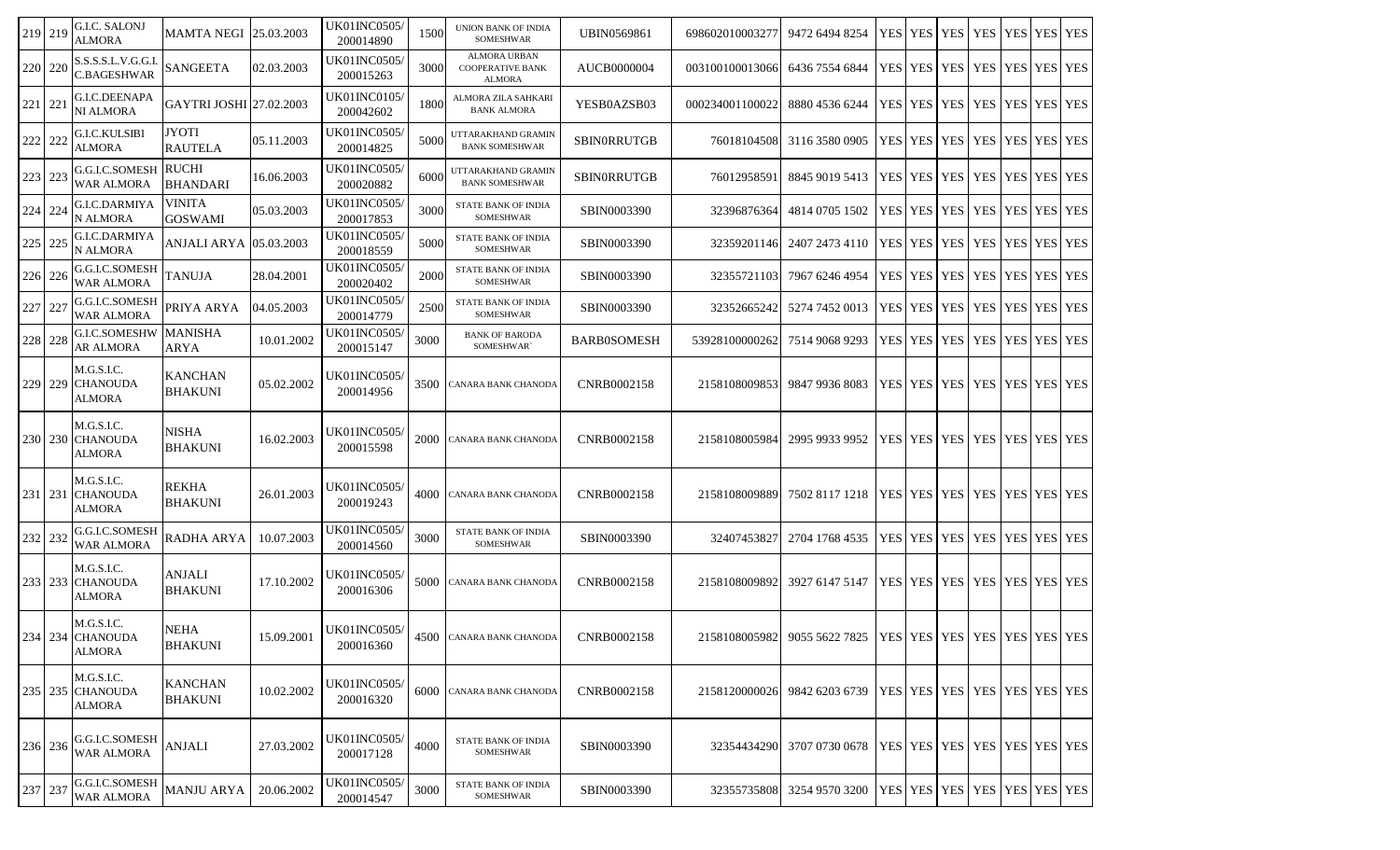| 219 219 | G.I.C. SALONJ<br><b>ALMORA</b>                      | <b>MAMTA NEGI 25.03.2003</b>     |            | <b>UK01INC0505/</b><br>200014890  | 1500 | UNION BANK OF INDIA<br><b>SOMESHWAR</b>                  | UBIN0569861        | 698602010003277 | 9472 6494 8254                                                               |  |                       | YES   YES   YES   YES   YES   YES   YES |             |  |
|---------|-----------------------------------------------------|----------------------------------|------------|-----------------------------------|------|----------------------------------------------------------|--------------------|-----------------|------------------------------------------------------------------------------|--|-----------------------|-----------------------------------------|-------------|--|
| 220 220 | S.S.S.S.L.V.G.G.I.<br>C.BAGESHWAR                   | <b>SANGEETA</b>                  | 02.03.2003 | <b>UK01INC0505/</b><br>200015263  | 3000 | ALMORA URBAN<br><b>COOPERATIVE BANK</b><br><b>ALMORA</b> | AUCB0000004        | 003100100013066 | 6436 7554 6844                                                               |  | YES YES YES YES       |                                         | YES YES YES |  |
| 221 221 | G.I.C.DEENAPA<br>NI ALMORA                          | GAYTRI JOSHI 27.02.2003          |            | <b>UK01INC0105/</b><br>200042602  | 1800 | ALMORA ZILA SAHKARI<br><b>BANK ALMORA</b>                | YESB0AZSB03        | 000234001100022 | 8880 4536 6244                                                               |  | YES YES YES YES       |                                         | YES YES YES |  |
| 222 222 | G.I.C.KULSIBI<br>ALMORA                             | <b>JYOTI</b><br><b>RAUTELA</b>   | 05.11.2003 | <b>UK01INC0505/</b><br>200014825  | 5000 | UTTARAKHAND GRAMIN<br><b>BANK SOMESHWAR</b>              | SBINORRUTGB        | 76018104508     | 3116 3580 0905                                                               |  | YES   YES   YES   YES |                                         | YES YES YES |  |
| 223 223 | <b>G.G.I.C.SOMESH RUCHI</b><br><b>WAR ALMORA</b>    | <b>BHANDARI</b>                  | 16.06.2003 | UK01INC0505/<br>200020882         | 6000 | UTTARAKHAND GRAMIN<br><b>BANK SOMESHWAR</b>              | <b>SBINORRUTGB</b> | 76012958591     | 8845 9019 5413                                                               |  | YES   YES   YES   YES |                                         | YES YES YES |  |
| 224 224 | G.I.C.DARMIYA<br>N ALMORA                           | <b>VINITA</b><br><b>GOSWAMI</b>  | 05.03.2003 | <b>UK01INC0505</b> /<br>200017853 | 3000 | STATE BANK OF INDIA<br><b>SOMESHWAR</b>                  | SBIN0003390        | 32396876364     | 4814 0705 1502                                                               |  | YES   YES   YES   YES |                                         | YES YES YES |  |
| 225 225 | G.I.C.DARMIYA<br>N ALMORA                           | ANJALI ARYA                      | 05.03.2003 | UK01INC0505/<br>200018559         | 5000 | STATE BANK OF INDIA<br><b>SOMESHWAR</b>                  | SBIN0003390        | 32359201146     | 2407 2473 4110                                                               |  | YES   YES   YES   YES |                                         | YES YES YES |  |
| 226 226 | G.G.I.C.SOMESH<br>WAR ALMORA                        | <b>TANUJA</b>                    | 28.04.2001 | UK01INC0505/<br>200020402         | 2000 | STATE BANK OF INDIA<br><b>SOMESHWAR</b>                  | SBIN0003390        | 32355721103     | 7967 6246 4954                                                               |  | YES   YES   YES   YES |                                         | YES YES YES |  |
| 227 227 | G.G.I.C.SOMESH<br><b>WAR ALMORA</b>                 | PRIYA ARYA                       | 04.05.2003 | UK01INC0505/<br>200014779         | 2500 | STATE BANK OF INDIA<br><b>SOMESHWAR</b>                  | SBIN0003390        | 323526652421    | 5274 7452 0013                                                               |  | YES   YES   YES   YES |                                         | YES YES YES |  |
| 228 228 | G.I.C.SOMESHW<br>AR ALMORA                          | <b>MANISHA</b><br><b>ARYA</b>    | 10.01.2002 | UK01INC0505/<br>200015147         | 3000 | <b>BANK OF BARODA</b><br>SOMESHWAR`                      | <b>BARB0SOMESH</b> | 53928100000262  | 7514 9068 9293                                                               |  | YES YES YES I YES     |                                         | YES YES YES |  |
|         | M.G.S.I.C.<br>229 229 CHANOUDA<br>ALMORA            | <b>KANCHAN</b><br><b>BHAKUNI</b> | 05.02.2002 | UK01INC0505/<br>200014956         | 3500 | CANARA BANK CHANODA                                      | CNRB0002158        | 2158108009853   | 9847 9936 8083                                                               |  | YES   YES   YES   YES |                                         | YES YES YES |  |
|         | M.G.S.I.C.<br>230   230   CHANOUDA<br><b>ALMORA</b> | <b>NISHA</b><br><b>BHAKUNI</b>   | 16.02.2003 | UK01INC0505/<br>200015598         | 2000 | CANARA BANK CHANODA                                      | CNRB0002158        | 2158108005984   | 2995 9933 9952                                                               |  | YES   YES   YES   YES |                                         | YES YES YES |  |
| 231 231 | M.G.S.I.C.<br><b>CHANOUDA</b><br>ALMORA             | REKHA<br><b>BHAKUNI</b>          | 26.01.2003 | UK01INC0505/<br>200019243         | 4000 | CANARA BANK CHANODA                                      | CNRB0002158        | 2158108009889   | 7502 8117 1218                                                               |  |                       | YES   YES   YES   YES   YES   YES   YES |             |  |
| 232 232 | G.G.I.C.SOMESH<br><b>WAR ALMORA</b>                 | <b>RADHA ARYA</b>                | 10.07.2003 | UK01INC0505/<br>200014560         | 3000 | STATE BANK OF INDIA<br>SOMESHWAR                         | SBIN0003390        | 32407453827     | 2704 1768 4535                                                               |  | YES   YES   YES   YES |                                         | YES YES YES |  |
|         | M.G.S.I.C.<br>233 233 CHANOUDA<br>ALMORA            | ANJALI<br><b>BHAKUNI</b>         | 17.10.2002 | UK01INC0505/<br>200016306         | 5000 | <b>CANARA BANK CHANODA</b>                               | CNRB0002158        | 2158108009892   | 3927 6147 5147                                                               |  |                       | YES   YES   YES   YES   YES   YES   YES |             |  |
|         | M.G.S.I.C.<br>234 234 CHANOUDA<br><b>ALMORA</b>     | <b>NEHA</b><br><b>BHAKUNI</b>    | 15.09.2001 | <b>UK01INC0505/</b><br>200016360  |      | 4500 CANARA BANK CHANODA                                 | CNRB0002158        |                 | 2158108005982 9055 5622 7825   YES   YES   YES   YES   YES   YES   YES   YES |  |                       |                                         |             |  |
|         | M.G.S.I.C.<br>235 235 CHANOUDA<br>ALMORA            | <b>KANCHAN</b><br><b>BHAKUNI</b> | 10.02.2002 | UK01INC0505/<br>200016320         | 6000 | <b>CANARA BANK CHANODA</b>                               | CNRB0002158        | 2158120000026   | 9842 6203 6739                                                               |  |                       | YES YES YES YES YES YES YES YES         |             |  |
| 236 236 | G.G.I.C.SOMESH<br><b>WAR ALMORA</b>                 | <b>ANJALI</b>                    | 27.03.2002 | UK01INC0505/<br>200017128         | 4000 | <b>STATE BANK OF INDIA</b><br>SOMESHWAR                  | SBIN0003390        | 32354434290     | 3707 0730 0678                                                               |  |                       | YES   YES   YES   YES   YES   YES   YES |             |  |
| 237 237 | G.G.I.C.SOMESH<br><b>WAR ALMORA</b>                 | <b>MANJU ARYA</b>                | 20.06.2002 | UK01INC0505/<br>200014547         | 3000 | <b>STATE BANK OF INDIA</b><br><b>SOMESHWAR</b>           | SBIN0003390        | 32355735808     | 3254 9570 3200                                                               |  |                       | YES   YES   YES   YES   YES   YES   YES |             |  |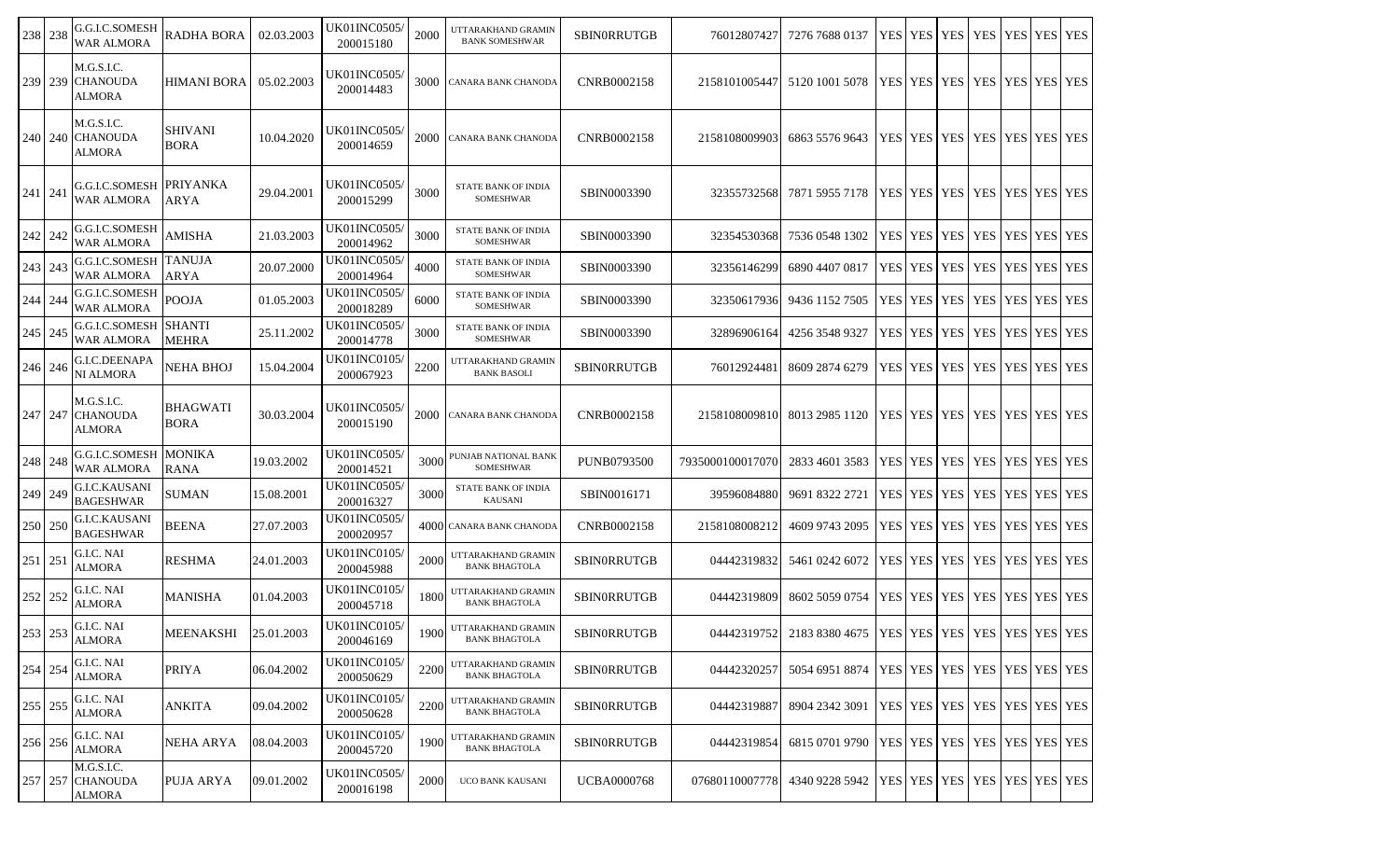| 238 238 | G.G.I.C.SOMESH<br><b>WAR ALMORA</b>                 | RADHA BORA                     | 02.03.2003 | UK01INC0505/<br>200015180         | 2000 | UTTARAKHAND GRAMIN<br><b>BANK SOMESHWAR</b>    | <b>SBINORRUTGB</b> | 76012807427      | 7276 7688 0137                                                       | YES YES YES           | <b>YES</b>                              | YES YES YES        |  |
|---------|-----------------------------------------------------|--------------------------------|------------|-----------------------------------|------|------------------------------------------------|--------------------|------------------|----------------------------------------------------------------------|-----------------------|-----------------------------------------|--------------------|--|
| 239 239 | M.G.S.I.C.<br><b>CHANOUDA</b><br>ALMORA             | <b>HIMANI BORA</b>             | 05.02.2003 | UK01INC0505/<br>200014483         | 3000 | CANARA BANK CHANODA                            | CNRB0002158        | 2158101005447    | 5120 1001 5078                                                       |                       | YES   YES   YES   YES   YES   YES   YES |                    |  |
| 240 240 | M.G.S.I.C.<br><b>CHANOUDA</b><br>ALMORA             | <b>SHIVANI</b><br><b>BORA</b>  | 10.04.2020 | <b>UK01INC0505</b> /<br>200014659 | 2000 | CANARA BANK CHANODA                            | CNRB0002158        | 2158108009903    | 6863 5576 9643                                                       | YES   YES   YES   YES |                                         | <b>YES YES YES</b> |  |
| 241 241 | G.G.I.C.SOMESH  PRIYANKA<br><b>WAR ALMORA</b>       | ARYA                           | 29.04.2001 | UK01INC0505/<br>200015299         | 3000 | STATE BANK OF INDIA<br><b>SOMESHWAR</b>        | SBIN0003390        | 323557325681     | 7871 5955 7178                                                       |                       | <u> YES YES YES YES YES YES YES </u>    |                    |  |
| 242 242 | G.G.I.C.SOMESH<br><b>WAR ALMORA</b>                 | AMISHA                         | 21.03.2003 | <b>UK01INC0505</b><br>200014962   | 3000 | STATE BANK OF INDIA<br>SOMESHWAR               | SBIN0003390        | 32354530368      | 7536 0548 1302                                                       | YES YES YES           | <b>YES</b>                              | YES YES YES        |  |
| 243 243 | <b>G.G.I.C.SOMESH TANUJA</b><br>WAR ALMORA          | <b>ARYA</b>                    | 20.07.2000 | <b>UK01INC0505/</b><br>200014964  | 4000 | STATE BANK OF INDIA<br>SOMESHWAR               | SBIN0003390        | 32356146299      | 6890 4407 0817                                                       | YES YES YES           | <b>YES</b>                              | YES YES YES        |  |
| 244 244 | G.G.I.C.SOMESH<br>WAR ALMORA                        | <b>POOJA</b>                   | 01.05.2003 | <b>UK01INC0505</b><br>200018289   | 6000 | STATE BANK OF INDIA<br><b>SOMESHWAR</b>        | SBIN0003390        | 32350617936      | 9436 1152 7505                                                       | YES   YES   YES   YES |                                         | YES YES YES        |  |
| 245 245 | G.G.I.C.SOMESH  SHANTI<br><b>WAR ALMORA</b>         | <b>MEHRA</b>                   | 25.11.2002 | <b>UK01INC0505</b><br>200014778   | 3000 | <b>STATE BANK OF INDIA</b><br><b>SOMESHWAR</b> | SBIN0003390        | 32896906164      | 4256 3548 9327                                                       | YES YES YES           | <b>YES</b>                              | YES YES YES        |  |
| 246 246 | <b>G.I.C.DEENAPA</b><br>NI ALMORA                   | NEHA BHOJ                      | 15.04.2004 | <b>UK01INC0105</b><br>200067923   | 2200 | UTTARAKHAND GRAMIN<br><b>BANK BASOLI</b>       | <b>SBINORRUTGB</b> | 76012924481      | 8609 2874 6279                                                       | YES   YES   YES   YES |                                         | YES YES YES        |  |
| 247 247 | M.G.S.I.C.<br><b>CHANOUDA</b><br>ALMORA             | <b>BHAGWATI</b><br><b>BORA</b> | 30.03.2004 | UK01INC0505/<br>200015190         | 2000 | CANARA BANK CHANODA                            | CNRB0002158        | 2158108009810    | 8013 2985 1120   YES   YES   YES   YES   YES   YES   YES   YES       |                       |                                         |                    |  |
| 248 248 | <b>G.G.I.C.SOMESH MONIKA</b><br>WAR ALMORA          | <b>RANA</b>                    | 19.03.2002 | UK01INC0505/<br>200014521         | 3000 | PUNJAB NATIONAL BANK<br><b>SOMESHWAR</b>       | PUNB0793500        | 7935000100017070 | 2833 4601 3583                                                       | YES YES YES           | <b>YES</b>                              | YES YES YES        |  |
| 249 249 | G.I.C.KAUSANI<br><b>BAGESHWAR</b>                   | SUMAN                          | 15.08.2001 | <b>UK01INC0505</b> /<br>200016327 | 3000 | STATE BANK OF INDIA<br><b>KAUSANI</b>          | SBIN0016171        | 39596084880      | 9691 8322 2721                                                       | YES YES YES           | <b>YES</b>                              | YES YES YES        |  |
| 250 250 | <b>G.I.C.KAUSANI</b><br><b>BAGESHWAR</b>            | <b>BEENA</b>                   | 27.07.2003 | <b>UK01INC0505</b><br>200020957   |      | 4000 CANARA BANK CHANODA                       | CNRB0002158        | 2158108008212    | 4609 9743 2095                                                       | YES YES YES           | <b>YES</b>                              | YES YES YES        |  |
| 251 251 | G.I.C. NAI<br><b>ALMORA</b>                         | <b>RESHMA</b>                  | 24.01.2003 | <b>UK01INC0105/</b><br>200045988  | 2000 | UTTARAKHAND GRAMIN<br><b>BANK BHAGTOLA</b>     | <b>SBINORRUTGB</b> | 04442319832      | 5461 0242 6072                                                       | YES YES YES           | <b>YES</b>                              | YES YES YES        |  |
| 252 252 | G.I.C. NAI<br>ALMORA                                | <b>MANISHA</b>                 | 01.04.2003 | UK01INC0105/<br>200045718         | 1800 | UTTARAKHAND GRAMIN<br><b>BANK BHAGTOLA</b>     | SBINORRUTGB        | 04442319809      | 8602 5059 0754                                                       | YES YES YES           | YES   YES   YES   YES                   |                    |  |
| 253 253 | G.I.C. NAI<br>ALMORA                                | <b>MEENAKSHI</b>               | 25.01.2003 | UK01INC0105/<br>200046169         |      | 1900 UTTARAKHAND GRAMIN<br>BANK BHAGTOLA       | <b>SBINORRUTGB</b> |                  | 04442319752 2183 8380 4675   YES   YES   YES   YES   YES   YES   YES |                       |                                         |                    |  |
| 254 254 | G.I.C. NAI<br><b>ALMORA</b>                         | <b>PRIYA</b>                   | 06.04.2002 | <b>UK01INC0105/</b><br>200050629  | 2200 | UTTARAKHAND GRAMIN<br><b>BANK BHAGTOLA</b>     | <b>SBINORRUTGB</b> | 04442320257      | 5054 6951 8874                                                       |                       | YES YES YES YES YES YES YES YES         |                    |  |
| 255 255 | G.I.C. NAI<br>ALMORA                                | <b>ANKITA</b>                  | 09.04.2002 | <b>UK01INC0105/</b><br>200050628  | 2200 | UTTARAKHAND GRAMIN<br><b>BANK BHAGTOLA</b>     | <b>SBINORRUTGB</b> | 04442319887      | 8904 2342 3091                                                       |                       | YES YES YES YES YES YES YES             |                    |  |
| 256 256 | G.I.C. NAI<br>ALMORA                                | <b>NEHA ARYA</b>               | 08.04.2003 | UK01INC0105/<br>200045720         | 1900 | UTTARAKHAND GRAMIN<br><b>BANK BHAGTOLA</b>     | SBINORRUTGB        | 04442319854      | 6815 0701 9790                                                       |                       | <b>TES YES YES YES YES YES YES</b>      |                    |  |
|         | M.G.S.I.C.<br>257   257   CHANOUDA<br><b>ALMORA</b> | PUJA ARYA                      | 09.01.2002 | <b>UK01INC0505/</b><br>200016198  | 2000 | UCO BANK KAUSANI                               | <b>UCBA0000768</b> | 07680110007778   | 4340 9228 5942   YES   YES   YES   YES   YES   YES   YES   YES       |                       |                                         |                    |  |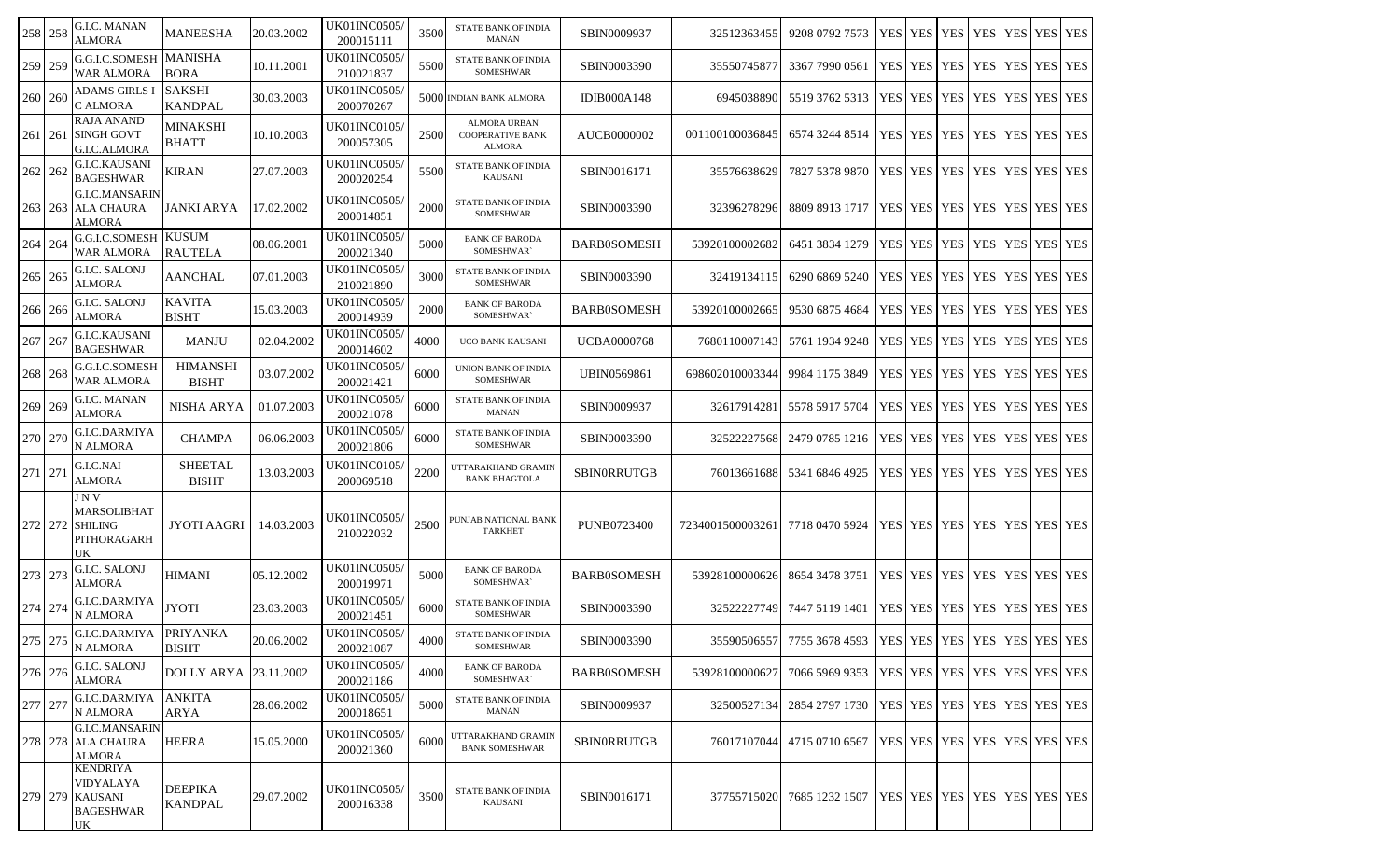| 258 258 | G.I.C. MANAN<br><b>ALMORA</b>                                      | MANEESHA                         | 20.03.2002 | <b>UK01INC0505/</b><br>200015111 | 3500 | <b>STATE BANK OF INDIA</b><br><b>MANAN</b>                      | SBIN0009937        | 325123634551     | 9208 0792 7573                                                       | <b>YES YES</b>                          | <b>YES</b> | YES        | YES IYES IYES   |  |
|---------|--------------------------------------------------------------------|----------------------------------|------------|----------------------------------|------|-----------------------------------------------------------------|--------------------|------------------|----------------------------------------------------------------------|-----------------------------------------|------------|------------|-----------------|--|
| 259 259 | G.G.I.C.SOMESH<br><b>WAR ALMORA</b>                                | <b>MANISHA</b><br><b>BORA</b>    | 10.11.2001 | <b>UK01INC0505/</b><br>210021837 | 5500 | <b>STATE BANK OF INDIA</b><br><b>SOMESHWAR</b>                  | SBIN0003390        | 35550745877      | 3367 7990 0561                                                       | YES YES YES                             |            | YES        | YES YES YES     |  |
| 260 260 | <b>ADAMS GIRLS</b> I<br>C ALMORA                                   | <b>SAKSHI</b><br><b>KANDPAL</b>  | 30.03.2003 | <b>UK01INC0505/</b><br>200070267 |      | 5000 INDIAN BANK ALMORA                                         | <b>IDIB000A148</b> | 6945038890       | 5519 3762 5313                                                       | YES   YES   YES                         |            | YES        | YES YES YES     |  |
| 261 261 | <b>RAJA ANAND</b><br><b>SINGH GOVT</b><br>G.I.C.ALMORA             | <b>MINAKSHI</b><br><b>BHATT</b>  | 10.10.2003 | UK01INC0105/<br>200057305        | 2500 | <b>ALMORA URBAN</b><br><b>COOPERATIVE BANK</b><br><b>ALMORA</b> | AUCB0000002        | 001100100036845  | 6574 3244 8514                                                       | YES   YES   YES   YES                   |            |            | YES   YES   YES |  |
| 262 262 | G.I.C.KAUSANI<br><b>BAGESHWAR</b>                                  | <b>KIRAN</b>                     | 27.07.2003 | UK01INC0505/<br>200020254        | 5500 | STATE BANK OF INDIA<br><b>KAUSANI</b>                           | SBIN0016171        | 35576638629      | 7827 5378 9870                                                       | YES YES                                 | <b>YES</b> | YES        | YES YES YES     |  |
| 263 263 | <b>G.I.C.MANSARIN</b><br><b>ALA CHAURA</b><br><b>ALMORA</b>        | JANKI ARYA                       | 17.02.2002 | UK01INC0505/<br>200014851        | 2000 | <b>STATE BANK OF INDIA</b><br><b>SOMESHWAR</b>                  | SBIN0003390        | 32396278296      | 8809 8913 1717                                                       | YES YES YES                             |            | <b>YES</b> | YES YES YES     |  |
| 264 264 | G.G.I.C.SOMESH KUSUM<br><b>WAR ALMORA</b>                          | <b>RAUTELA</b>                   | 08.06.2001 | <b>UK01INC0505/</b><br>200021340 | 5000 | <b>BANK OF BARODA</b><br>SOMESHWAR`                             | <b>BARB0SOMESH</b> | 53920100002682   | 6451 3834 1279                                                       | YES   YES   YES   YES                   |            |            | YES YES YES     |  |
| 265 265 | G.I.C. SALONJ<br><b>ALMORA</b>                                     | <b>AANCHAL</b>                   | 07.01.2003 | <b>UK01INC0505</b><br>210021890  | 3000 | <b>STATE BANK OF INDIA</b><br>SOMESHWAR                         | SBIN0003390        | 32419134115      | 6290 6869 5240                                                       | YES   YES   YES   YES                   |            |            | YES YES YES     |  |
| 266 266 | G.I.C. SALONJ<br><b>ALMORA</b>                                     | <b>KAVITA</b><br><b>BISHT</b>    | 15.03.2003 | <b>UK01INC0505/</b><br>200014939 | 2000 | <b>BANK OF BARODA</b><br>SOMESHWAR`                             | <b>BARB0SOMESH</b> | 53920100002665   | 9530 6875 4684                                                       | YES   YES   YES   YES                   |            |            | YES YES YES     |  |
| 267 267 | G.I.C.KAUSANI<br><b>BAGESHWAR</b>                                  | <b>MANJU</b>                     | 02.04.2002 | UK01INC0505/<br>200014602        | 4000 | UCO BANK KAUSANI                                                | <b>UCBA0000768</b> | 7680110007143    | 5761 1934 9248                                                       | YES YES YES YES                         |            |            | YES   YES   YES |  |
| 268 268 | G.G.I.C.SOMESH<br><b>WAR ALMORA</b>                                | <b>HIMANSHI</b><br><b>BISHT</b>  | 03.07.2002 | UK01INC0505/<br>200021421        | 6000 | UNION BANK OF INDIA<br>SOMESHWAR                                | UBIN0569861        | 698602010003344  | 9984 1175 3849                                                       | YES   YES   YES   YES                   |            |            | YES YES YES     |  |
| 269 269 | G.I.C. MANAN<br>ALMORA                                             | NISHA ARYA                       | 01.07.2003 | UK01INC0505/<br>200021078        | 6000 | <b>STATE BANK OF INDIA</b><br><b>MANAN</b>                      | SBIN0009937        | 32617914281      | 5578 5917 5704                                                       | YES YES YES I                           |            | YES        | YES YES YES     |  |
| 270 270 | G.I.C.DARMIYA<br>N ALMORA                                          | <b>CHAMPA</b>                    | 06.06.2003 | UK01INC0505/<br>200021806        | 6000 | STATE BANK OF INDIA<br><b>SOMESHWAR</b>                         | SBIN0003390        | 32522227568      | 2479 0785 1216                                                       | <b>YES</b> YES                          | <b>YES</b> | YES        | YES YES YES     |  |
| 271 271 | G.I.C.NAI<br><b>ALMORA</b>                                         | <b>SHEETAL</b><br><b>BISHT</b>   | 13.03.2003 | <b>UK01INC0105/</b><br>200069518 | 2200 | UTTARAKHAND GRAMIN<br><b>BANK BHAGTOLA</b>                      | <b>SBINORRUTGB</b> | 76013661688      | 5341 6846 4925                                                       | YES   YES   YES   YES                   |            |            | YES YES YES     |  |
| 272 272 | J N V<br>MARSOLIBHAT<br><b>SHILING</b><br>PITHORAGARH<br>UK        | JYOTI AAGRI                      | 14.03.2003 | UK01INC0505/<br>210022032        | 2500 | PUNJAB NATIONAL BANK<br><b>TARKHET</b>                          | <b>PUNB0723400</b> | 7234001500003261 | 7718 0470 5924                                                       | YES   YES   YES   YES   YES   YES   YES |            |            |                 |  |
| 273 273 | G.I.C. SALONJ<br>ALMORA                                            | HIMANI                           | 05.12.2002 | UK01INC0505/<br>200019971        | 5000 | <b>BANK OF BARODA</b><br>SOMESHWAR`                             | <b>BARB0SOMESH</b> | 53928100000626   | 8654 3478 3751                                                       | YES YES YES YES                         |            |            | YES   YES   YES |  |
| 274 274 | G.I.C.DARMIYA<br>N ALMORA                                          | <b>JYOTI</b>                     | 23.03.2003 | UK01INC0505/<br>200021451        | 6000 | STATE BANK OF INDIA<br>SOMESHWAR                                | SBIN0003390        | 32522227749      | 7447 5119 1401                                                       | YES YES YES YES                         |            |            | YES   YES   YES |  |
| 275 275 | G.I.C.DARMIYA   PRIYANKA<br>N ALMORA                               | <b>BISHT</b>                     | 20.06.2002 | <b>UK01INC0505/</b><br>200021087 | 4000 | STATE BANK OF INDIA<br>SOMESHWAR                                | SBIN0003390        |                  | 35590506557 7755 3678 4593 YES YES YES YES YES YES YES YES           |                                         |            |            |                 |  |
| 276 276 | G.I.C. SALONJ<br><b>ALMORA</b>                                     | DOLLY ARYA 23.11.2002            |            | UK01INC0505/<br>200021186        | 4000 | <b>BANK OF BARODA</b><br>SOMESHWAR`                             | <b>BARB0SOMESH</b> | 53928100000627   | 7066 5969 9353                                                       | YES   YES   YES   YES   YES   YES   YES |            |            |                 |  |
| 277 277 | G.I.C.DARMIYA<br>N ALMORA                                          | <b>ANKITA</b><br>ARYA            | 28.06.2002 | UK01INC0505/<br>200018651        | 5000 | STATE BANK OF INDIA<br><b>MANAN</b>                             | SBIN0009937        |                  | 32500527134 2854 2797 1730   YES   YES   YES   YES   YES   YES   YES |                                         |            |            |                 |  |
|         | <b>G.I.C.MANSARIN</b><br>278 278 ALA CHAURA<br>ALMORA              | <b>HEERA</b>                     | 15.05.2000 | UK01INC0505/<br>200021360        | 6000 | UTTARAKHAND GRAMIN<br><b>BANK SOMESHWAR</b>                     | <b>SBINORRUTGB</b> |                  | 76017107044 4715 0710 6567   YES   YES   YES   YES   YES   YES   YES |                                         |            |            |                 |  |
|         | KENDRIYA<br>VIDYALAYA<br>279 279 KAUSANI<br><b>BAGESHWAR</b><br>UK | <b>DEEPIKA</b><br><b>KANDPAL</b> | 29.07.2002 | UK01INC0505/<br>200016338        | 3500 | STATE BANK OF INDIA<br>KAUSANI                                  | SBIN0016171        | 37755715020      | 7685 1232 1507   YES   YES   YES   YES   YES   YES   YES             |                                         |            |            |                 |  |